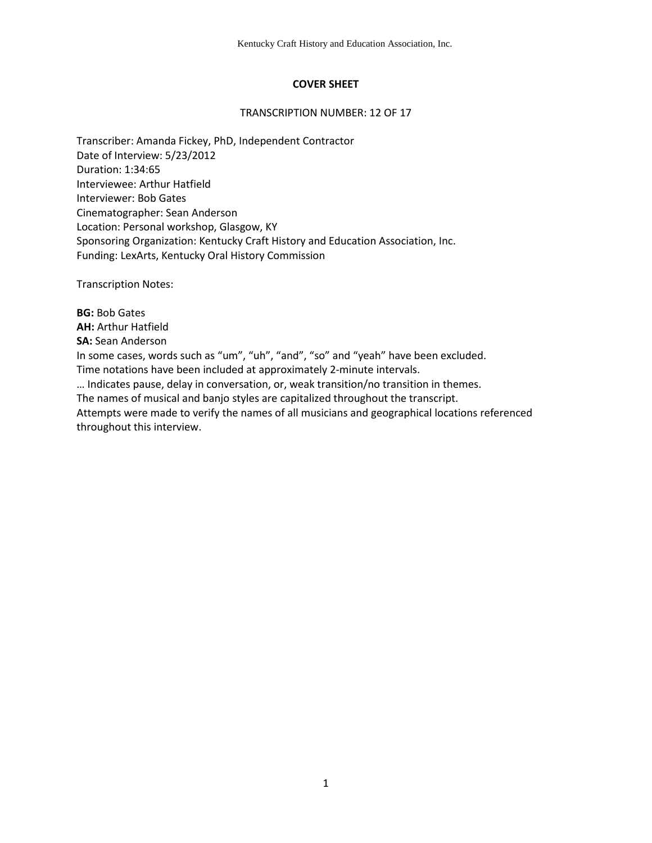# **COVER SHEET**

## TRANSCRIPTION NUMBER: 12 OF 17

Transcriber: Amanda Fickey, PhD, Independent Contractor Date of Interview: 5/23/2012 Duration: 1:34:65 Interviewee: Arthur Hatfield Interviewer: Bob Gates Cinematographer: Sean Anderson Location: Personal workshop, Glasgow, KY Sponsoring Organization: Kentucky Craft History and Education Association, Inc. Funding: LexArts, Kentucky Oral History Commission

Transcription Notes:

**BG:** Bob Gates **AH:** Arthur Hatfield **SA:** Sean Anderson In some cases, words such as "um", "uh", "and", "so" and "yeah" have been excluded. Time notations have been included at approximately 2-minute intervals. … Indicates pause, delay in conversation, or, weak transition/no transition in themes. The names of musical and banjo styles are capitalized throughout the transcript. Attempts were made to verify the names of all musicians and geographical locations referenced throughout this interview.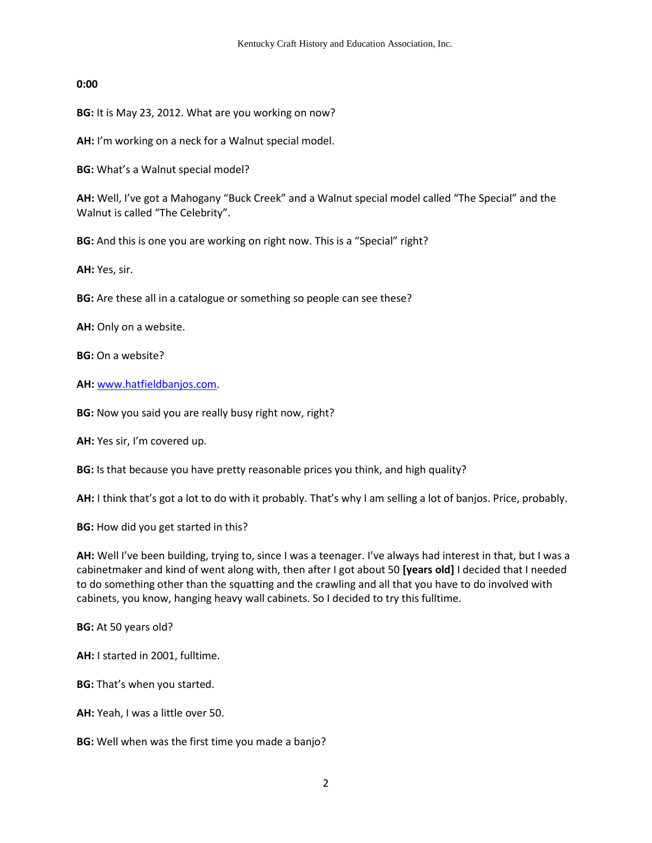## **0:00**

**BG:** It is May 23, 2012. What are you working on now?

**AH:** I'm working on a neck for a Walnut special model.

**BG:** What's a Walnut special model?

**AH:** Well, I've got a Mahogany "Buck Creek" and a Walnut special model called "The Special" and the Walnut is called "The Celebrity".

**BG:** And this is one you are working on right now. This is a "Special" right?

**AH:** Yes, sir.

**BG:** Are these all in a catalogue or something so people can see these?

**AH:** Only on a website.

**BG:** On a website?

**AH:** [www.hatfieldbanjos.com.](http://www.hatfieldbanjos.com/)

**BG:** Now you said you are really busy right now, right?

**AH:** Yes sir, I'm covered up.

**BG:** Is that because you have pretty reasonable prices you think, and high quality?

**AH:** I think that's got a lot to do with it probably. That's why I am selling a lot of banjos. Price, probably.

**BG:** How did you get started in this?

**AH:** Well I've been building, trying to, since I was a teenager. I've always had interest in that, but I was a cabinetmaker and kind of went along with, then after I got about 50 **[years old]** I decided that I needed to do something other than the squatting and the crawling and all that you have to do involved with cabinets, you know, hanging heavy wall cabinets. So I decided to try this fulltime.

**BG:** At 50 years old?

**AH:** I started in 2001, fulltime.

**BG:** That's when you started.

**AH:** Yeah, I was a little over 50.

**BG:** Well when was the first time you made a banjo?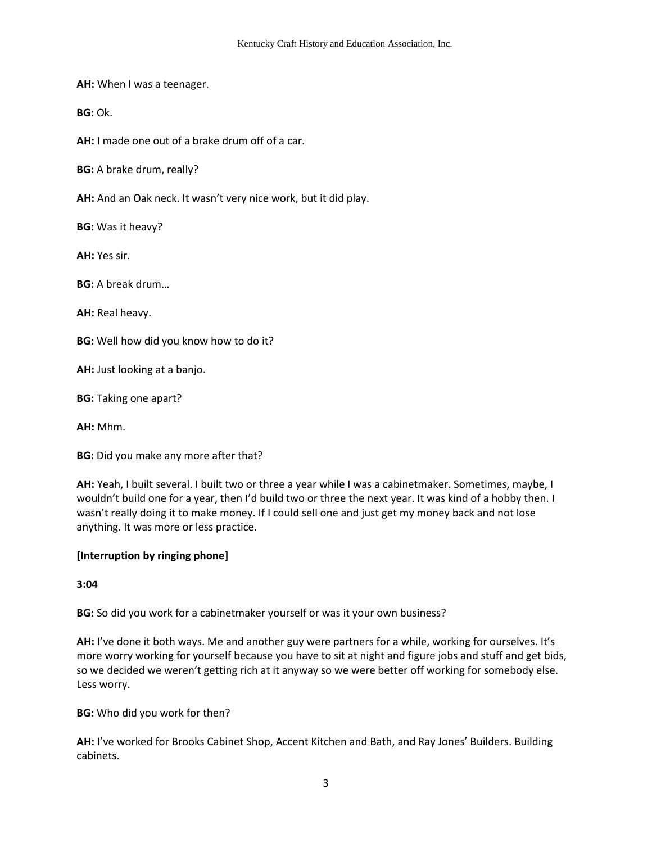**AH:** When I was a teenager.

**BG:** Ok.

**AH:** I made one out of a brake drum off of a car.

**BG:** A brake drum, really?

**AH:** And an Oak neck. It wasn't very nice work, but it did play.

**BG:** Was it heavy?

**AH:** Yes sir.

**BG:** A break drum…

**AH:** Real heavy.

**BG:** Well how did you know how to do it?

**AH:** Just looking at a banjo.

**BG:** Taking one apart?

**AH:** Mhm.

**BG:** Did you make any more after that?

**AH:** Yeah, I built several. I built two or three a year while I was a cabinetmaker. Sometimes, maybe, I wouldn't build one for a year, then I'd build two or three the next year. It was kind of a hobby then. I wasn't really doing it to make money. If I could sell one and just get my money back and not lose anything. It was more or less practice.

## **[Interruption by ringing phone]**

**3:04** 

**BG:** So did you work for a cabinetmaker yourself or was it your own business?

**AH:** I've done it both ways. Me and another guy were partners for a while, working for ourselves. It's more worry working for yourself because you have to sit at night and figure jobs and stuff and get bids, so we decided we weren't getting rich at it anyway so we were better off working for somebody else. Less worry.

**BG:** Who did you work for then?

**AH:** I've worked for Brooks Cabinet Shop, Accent Kitchen and Bath, and Ray Jones' Builders. Building cabinets.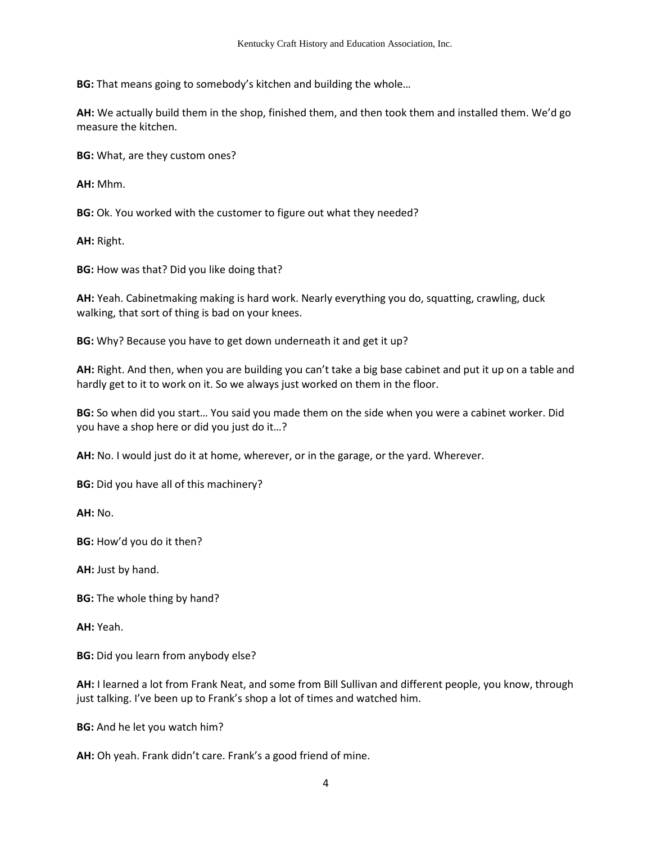**BG:** That means going to somebody's kitchen and building the whole…

**AH:** We actually build them in the shop, finished them, and then took them and installed them. We'd go measure the kitchen.

**BG:** What, are they custom ones?

**AH:** Mhm.

**BG:** Ok. You worked with the customer to figure out what they needed?

**AH:** Right.

**BG:** How was that? Did you like doing that?

**AH:** Yeah. Cabinetmaking making is hard work. Nearly everything you do, squatting, crawling, duck walking, that sort of thing is bad on your knees.

**BG:** Why? Because you have to get down underneath it and get it up?

**AH:** Right. And then, when you are building you can't take a big base cabinet and put it up on a table and hardly get to it to work on it. So we always just worked on them in the floor.

**BG:** So when did you start… You said you made them on the side when you were a cabinet worker. Did you have a shop here or did you just do it…?

**AH:** No. I would just do it at home, wherever, or in the garage, or the yard. Wherever.

**BG:** Did you have all of this machinery?

**AH:** No.

**BG:** How'd you do it then?

**AH:** Just by hand.

**BG:** The whole thing by hand?

**AH:** Yeah.

**BG:** Did you learn from anybody else?

**AH:** I learned a lot from Frank Neat, and some from Bill Sullivan and different people, you know, through just talking. I've been up to Frank's shop a lot of times and watched him.

**BG:** And he let you watch him?

**AH:** Oh yeah. Frank didn't care. Frank's a good friend of mine.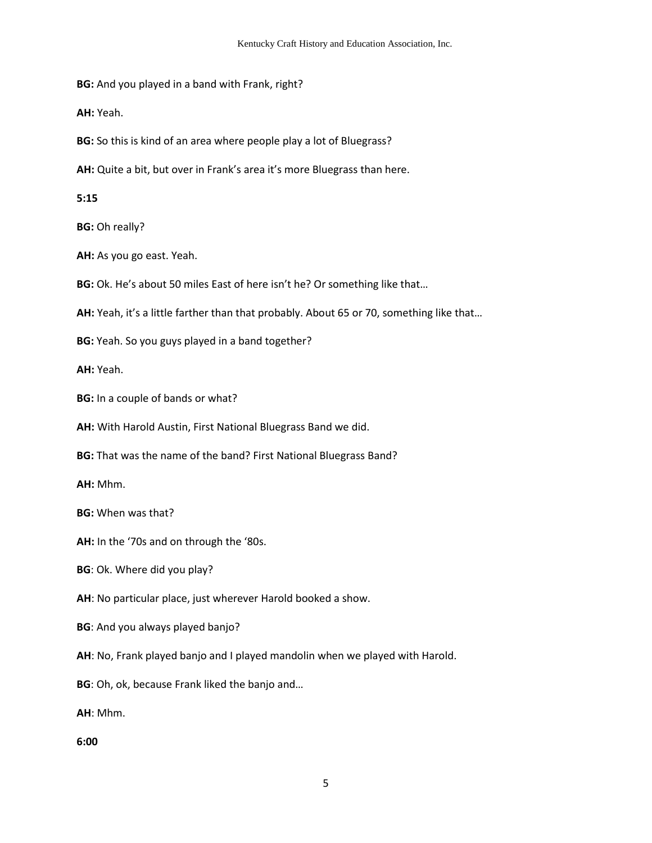**BG:** And you played in a band with Frank, right?

**AH:** Yeah.

**BG:** So this is kind of an area where people play a lot of Bluegrass?

**AH:** Quite a bit, but over in Frank's area it's more Bluegrass than here.

**5:15**

**BG:** Oh really?

**AH:** As you go east. Yeah.

**BG:** Ok. He's about 50 miles East of here isn't he? Or something like that…

**AH:** Yeah, it's a little farther than that probably. About 65 or 70, something like that…

**BG:** Yeah. So you guys played in a band together?

**AH:** Yeah.

**BG:** In a couple of bands or what?

**AH:** With Harold Austin, First National Bluegrass Band we did.

**BG:** That was the name of the band? First National Bluegrass Band?

**AH:** Mhm.

**BG:** When was that?

**AH:** In the '70s and on through the '80s.

**BG**: Ok. Where did you play?

**AH**: No particular place, just wherever Harold booked a show.

**BG**: And you always played banjo?

**AH**: No, Frank played banjo and I played mandolin when we played with Harold.

**BG**: Oh, ok, because Frank liked the banjo and…

**AH**: Mhm.

**6:00**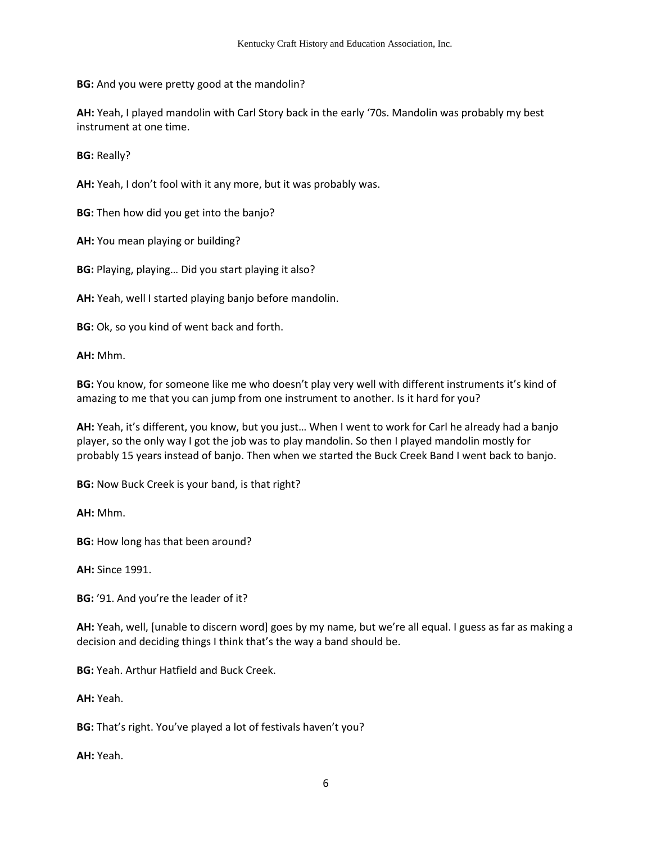**BG:** And you were pretty good at the mandolin?

**AH:** Yeah, I played mandolin with Carl Story back in the early '70s. Mandolin was probably my best instrument at one time.

**BG:** Really?

**AH:** Yeah, I don't fool with it any more, but it was probably was.

**BG:** Then how did you get into the banjo?

**AH:** You mean playing or building?

**BG:** Playing, playing… Did you start playing it also?

**AH:** Yeah, well I started playing banjo before mandolin.

**BG:** Ok, so you kind of went back and forth.

**AH:** Mhm.

**BG:** You know, for someone like me who doesn't play very well with different instruments it's kind of amazing to me that you can jump from one instrument to another. Is it hard for you?

**AH:** Yeah, it's different, you know, but you just… When I went to work for Carl he already had a banjo player, so the only way I got the job was to play mandolin. So then I played mandolin mostly for probably 15 years instead of banjo. Then when we started the Buck Creek Band I went back to banjo.

**BG:** Now Buck Creek is your band, is that right?

**AH:** Mhm.

**BG:** How long has that been around?

**AH:** Since 1991.

**BG:** '91. And you're the leader of it?

**AH:** Yeah, well, [unable to discern word] goes by my name, but we're all equal. I guess as far as making a decision and deciding things I think that's the way a band should be.

**BG:** Yeah. Arthur Hatfield and Buck Creek.

**AH:** Yeah.

**BG:** That's right. You've played a lot of festivals haven't you?

**AH:** Yeah.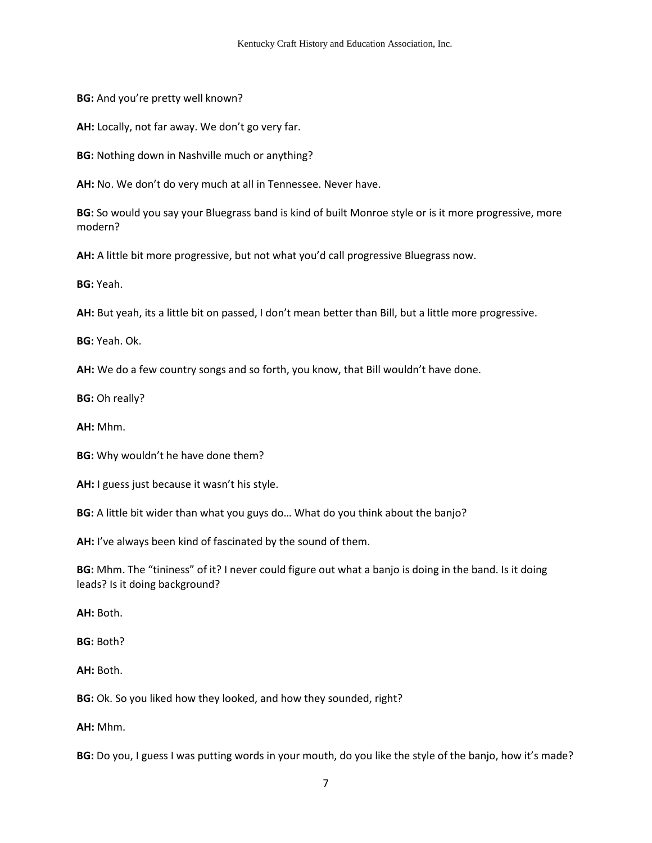**BG:** And you're pretty well known?

**AH:** Locally, not far away. We don't go very far.

**BG:** Nothing down in Nashville much or anything?

**AH:** No. We don't do very much at all in Tennessee. Never have.

**BG:** So would you say your Bluegrass band is kind of built Monroe style or is it more progressive, more modern?

**AH:** A little bit more progressive, but not what you'd call progressive Bluegrass now.

**BG:** Yeah.

**AH:** But yeah, its a little bit on passed, I don't mean better than Bill, but a little more progressive.

**BG:** Yeah. Ok.

**AH:** We do a few country songs and so forth, you know, that Bill wouldn't have done.

**BG:** Oh really?

**AH:** Mhm.

**BG:** Why wouldn't he have done them?

**AH:** I guess just because it wasn't his style.

**BG:** A little bit wider than what you guys do… What do you think about the banjo?

**AH:** I've always been kind of fascinated by the sound of them.

**BG:** Mhm. The "tininess" of it? I never could figure out what a banjo is doing in the band. Is it doing leads? Is it doing background?

**AH:** Both.

**BG:** Both?

**AH:** Both.

**BG:** Ok. So you liked how they looked, and how they sounded, right?

**AH:** Mhm.

**BG:** Do you, I guess I was putting words in your mouth, do you like the style of the banjo, how it's made?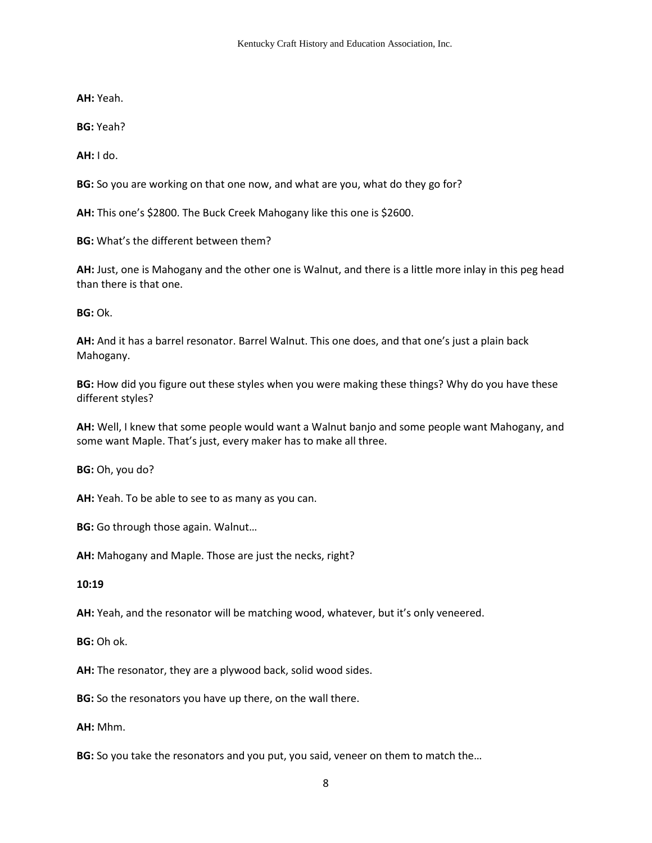**AH:** Yeah.

**BG:** Yeah?

**AH:** I do.

**BG:** So you are working on that one now, and what are you, what do they go for?

**AH:** This one's \$2800. The Buck Creek Mahogany like this one is \$2600.

**BG:** What's the different between them?

**AH:** Just, one is Mahogany and the other one is Walnut, and there is a little more inlay in this peg head than there is that one.

**BG:** Ok.

**AH:** And it has a barrel resonator. Barrel Walnut. This one does, and that one's just a plain back Mahogany.

**BG:** How did you figure out these styles when you were making these things? Why do you have these different styles?

**AH:** Well, I knew that some people would want a Walnut banjo and some people want Mahogany, and some want Maple. That's just, every maker has to make all three.

**BG:** Oh, you do?

**AH:** Yeah. To be able to see to as many as you can.

**BG:** Go through those again. Walnut…

**AH:** Mahogany and Maple. Those are just the necks, right?

**10:19** 

**AH:** Yeah, and the resonator will be matching wood, whatever, but it's only veneered.

**BG:** Oh ok.

**AH:** The resonator, they are a plywood back, solid wood sides.

**BG:** So the resonators you have up there, on the wall there.

**AH:** Mhm.

**BG:** So you take the resonators and you put, you said, veneer on them to match the…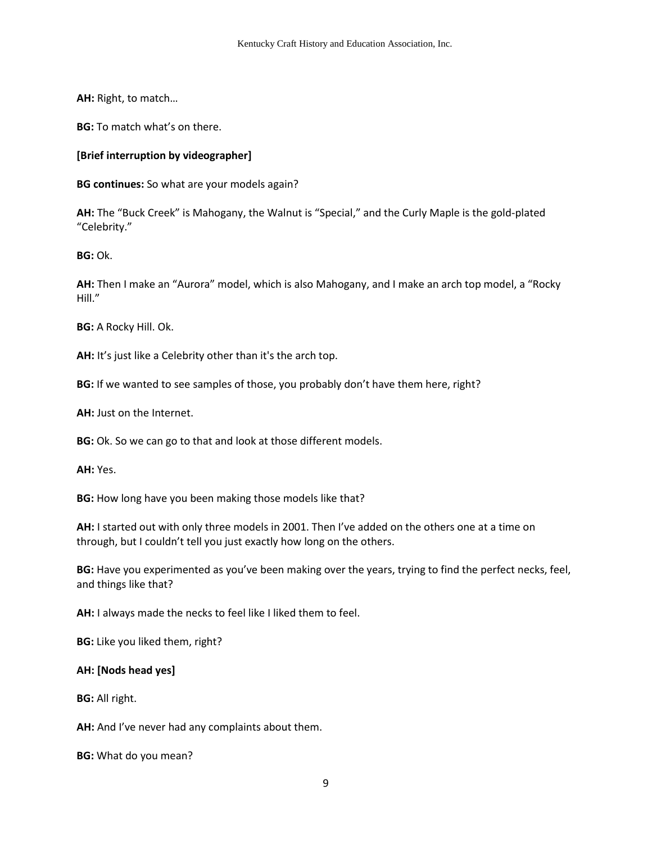**AH:** Right, to match…

**BG:** To match what's on there.

# **[Brief interruption by videographer]**

**BG continues:** So what are your models again?

**AH:** The "Buck Creek" is Mahogany, the Walnut is "Special," and the Curly Maple is the gold-plated "Celebrity."

**BG:** Ok.

**AH:** Then I make an "Aurora" model, which is also Mahogany, and I make an arch top model, a "Rocky Hill."

**BG:** A Rocky Hill. Ok.

**AH:** It's just like a Celebrity other than it's the arch top.

**BG:** If we wanted to see samples of those, you probably don't have them here, right?

**AH:** Just on the Internet.

**BG:** Ok. So we can go to that and look at those different models.

**AH:** Yes.

**BG:** How long have you been making those models like that?

**AH:** I started out with only three models in 2001. Then I've added on the others one at a time on through, but I couldn't tell you just exactly how long on the others.

**BG:** Have you experimented as you've been making over the years, trying to find the perfect necks, feel, and things like that?

**AH:** I always made the necks to feel like I liked them to feel.

**BG:** Like you liked them, right?

## **AH: [Nods head yes]**

**BG:** All right.

**AH:** And I've never had any complaints about them.

**BG:** What do you mean?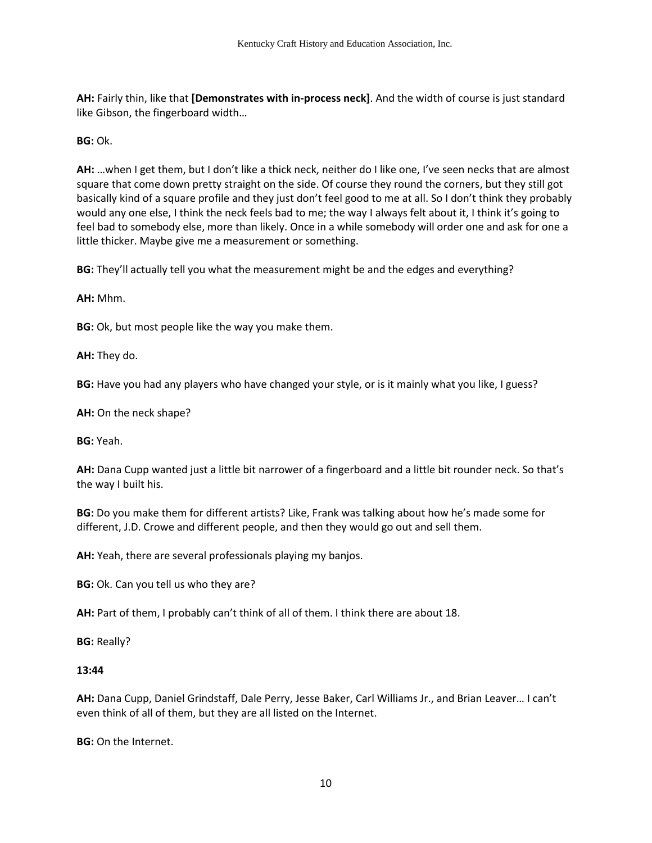**AH:** Fairly thin, like that **[Demonstrates with in-process neck]**. And the width of course is just standard like Gibson, the fingerboard width…

## **BG:** Ok.

**AH:** …when I get them, but I don't like a thick neck, neither do I like one, I've seen necks that are almost square that come down pretty straight on the side. Of course they round the corners, but they still got basically kind of a square profile and they just don't feel good to me at all. So I don't think they probably would any one else, I think the neck feels bad to me; the way I always felt about it, I think it's going to feel bad to somebody else, more than likely. Once in a while somebody will order one and ask for one a little thicker. Maybe give me a measurement or something.

**BG:** They'll actually tell you what the measurement might be and the edges and everything?

**AH:** Mhm.

**BG:** Ok, but most people like the way you make them.

**AH:** They do.

**BG:** Have you had any players who have changed your style, or is it mainly what you like, I guess?

**AH:** On the neck shape?

**BG:** Yeah.

**AH:** Dana Cupp wanted just a little bit narrower of a fingerboard and a little bit rounder neck. So that's the way I built his.

**BG:** Do you make them for different artists? Like, Frank was talking about how he's made some for different, J.D. Crowe and different people, and then they would go out and sell them.

**AH:** Yeah, there are several professionals playing my banjos.

**BG:** Ok. Can you tell us who they are?

**AH:** Part of them, I probably can't think of all of them. I think there are about 18.

**BG:** Really?

#### **13:44**

**AH:** Dana Cupp, Daniel Grindstaff, Dale Perry, Jesse Baker, Carl Williams Jr., and Brian Leaver… I can't even think of all of them, but they are all listed on the Internet.

**BG:** On the Internet.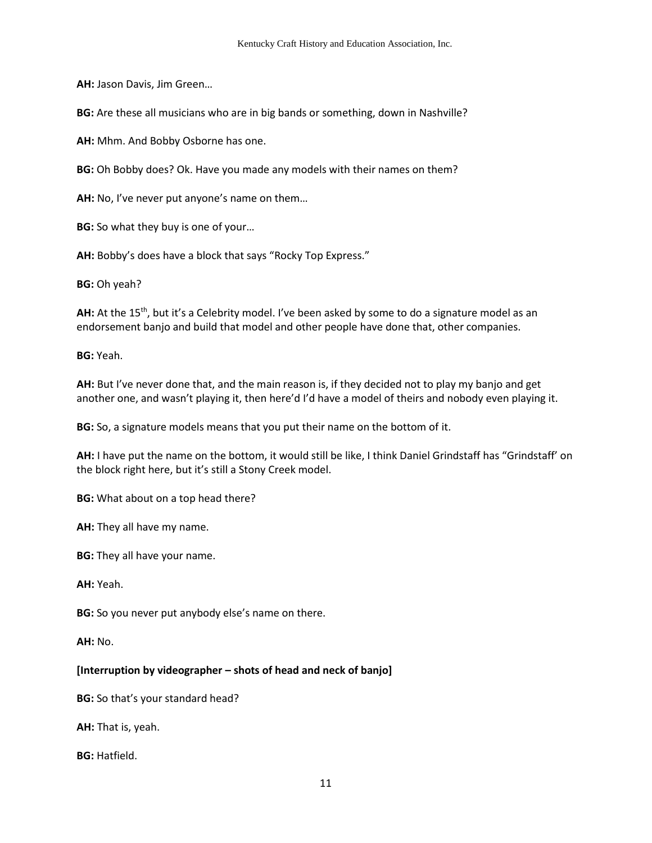**AH:** Jason Davis, Jim Green…

**BG:** Are these all musicians who are in big bands or something, down in Nashville?

**AH:** Mhm. And Bobby Osborne has one.

**BG:** Oh Bobby does? Ok. Have you made any models with their names on them?

**AH:** No, I've never put anyone's name on them…

**BG:** So what they buy is one of your…

**AH:** Bobby's does have a block that says "Rocky Top Express."

**BG:** Oh yeah?

**AH:** At the 15<sup>th</sup>, but it's a Celebrity model. I've been asked by some to do a signature model as an endorsement banjo and build that model and other people have done that, other companies.

**BG:** Yeah.

**AH:** But I've never done that, and the main reason is, if they decided not to play my banjo and get another one, and wasn't playing it, then here'd I'd have a model of theirs and nobody even playing it.

**BG:** So, a signature models means that you put their name on the bottom of it.

**AH:** I have put the name on the bottom, it would still be like, I think Daniel Grindstaff has "Grindstaff' on the block right here, but it's still a Stony Creek model.

**BG:** What about on a top head there?

**AH:** They all have my name.

**BG:** They all have your name.

**AH:** Yeah.

**BG:** So you never put anybody else's name on there.

**AH:** No.

## **[Interruption by videographer – shots of head and neck of banjo]**

**BG:** So that's your standard head?

**AH:** That is, yeah.

**BG:** Hatfield.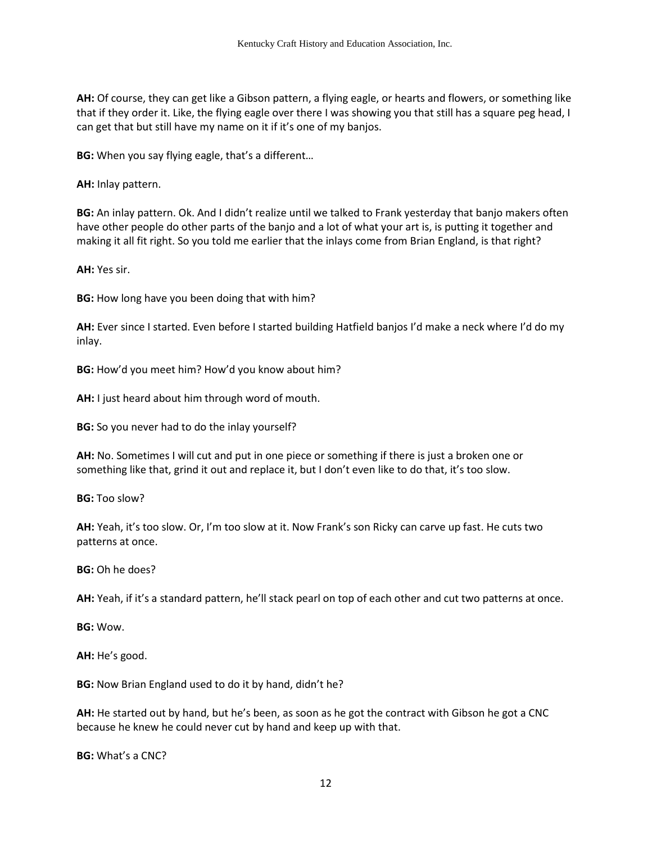**AH:** Of course, they can get like a Gibson pattern, a flying eagle, or hearts and flowers, or something like that if they order it. Like, the flying eagle over there I was showing you that still has a square peg head, I can get that but still have my name on it if it's one of my banjos.

**BG:** When you say flying eagle, that's a different…

**AH:** Inlay pattern.

**BG:** An inlay pattern. Ok. And I didn't realize until we talked to Frank yesterday that banjo makers often have other people do other parts of the banjo and a lot of what your art is, is putting it together and making it all fit right. So you told me earlier that the inlays come from Brian England, is that right?

**AH:** Yes sir.

**BG:** How long have you been doing that with him?

**AH:** Ever since I started. Even before I started building Hatfield banjos I'd make a neck where I'd do my inlay.

**BG:** How'd you meet him? How'd you know about him?

**AH:** I just heard about him through word of mouth.

**BG:** So you never had to do the inlay yourself?

**AH:** No. Sometimes I will cut and put in one piece or something if there is just a broken one or something like that, grind it out and replace it, but I don't even like to do that, it's too slow.

**BG:** Too slow?

**AH:** Yeah, it's too slow. Or, I'm too slow at it. Now Frank's son Ricky can carve up fast. He cuts two patterns at once.

**BG:** Oh he does?

**AH:** Yeah, if it's a standard pattern, he'll stack pearl on top of each other and cut two patterns at once.

**BG:** Wow.

**AH:** He's good.

**BG:** Now Brian England used to do it by hand, didn't he?

**AH:** He started out by hand, but he's been, as soon as he got the contract with Gibson he got a CNC because he knew he could never cut by hand and keep up with that.

**BG:** What's a CNC?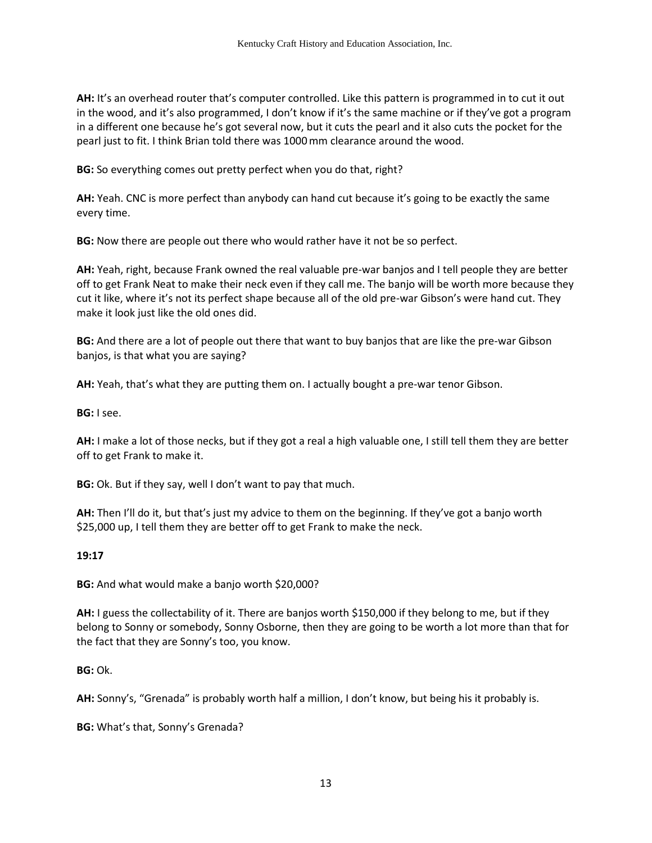**AH:** It's an overhead router that's computer controlled. Like this pattern is programmed in to cut it out in the wood, and it's also programmed, I don't know if it's the same machine or if they've got a program in a different one because he's got several now, but it cuts the pearl and it also cuts the pocket for the pearl just to fit. I think Brian told there was 1000mm clearance around the wood.

**BG:** So everything comes out pretty perfect when you do that, right?

**AH:** Yeah. CNC is more perfect than anybody can hand cut because it's going to be exactly the same every time.

**BG:** Now there are people out there who would rather have it not be so perfect.

**AH:** Yeah, right, because Frank owned the real valuable pre-war banjos and I tell people they are better off to get Frank Neat to make their neck even if they call me. The banjo will be worth more because they cut it like, where it's not its perfect shape because all of the old pre-war Gibson's were hand cut. They make it look just like the old ones did.

**BG:** And there are a lot of people out there that want to buy banjos that are like the pre-war Gibson banjos, is that what you are saying?

**AH:** Yeah, that's what they are putting them on. I actually bought a pre-war tenor Gibson.

**BG:** I see.

**AH:** I make a lot of those necks, but if they got a real a high valuable one, I still tell them they are better off to get Frank to make it.

**BG:** Ok. But if they say, well I don't want to pay that much.

**AH:** Then I'll do it, but that's just my advice to them on the beginning. If they've got a banjo worth \$25,000 up, I tell them they are better off to get Frank to make the neck.

## **19:17**

**BG:** And what would make a banjo worth \$20,000?

**AH:** I guess the collectability of it. There are banjos worth \$150,000 if they belong to me, but if they belong to Sonny or somebody, Sonny Osborne, then they are going to be worth a lot more than that for the fact that they are Sonny's too, you know.

**BG:** Ok.

**AH:** Sonny's, "Grenada" is probably worth half a million, I don't know, but being his it probably is.

**BG:** What's that, Sonny's Grenada?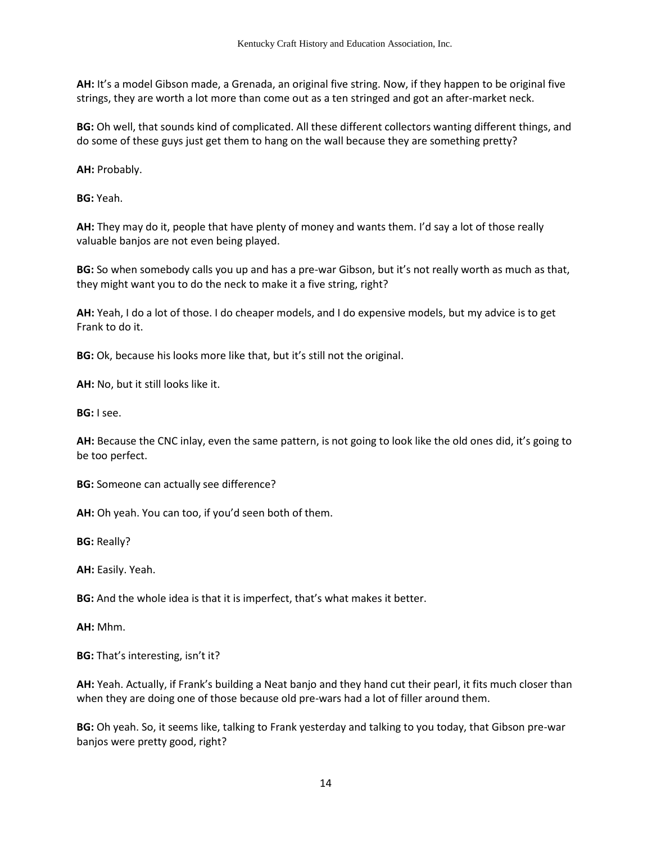**AH:** It's a model Gibson made, a Grenada, an original five string. Now, if they happen to be original five strings, they are worth a lot more than come out as a ten stringed and got an after-market neck.

**BG:** Oh well, that sounds kind of complicated. All these different collectors wanting different things, and do some of these guys just get them to hang on the wall because they are something pretty?

**AH:** Probably.

**BG:** Yeah.

**AH:** They may do it, people that have plenty of money and wants them. I'd say a lot of those really valuable banjos are not even being played.

**BG:** So when somebody calls you up and has a pre-war Gibson, but it's not really worth as much as that, they might want you to do the neck to make it a five string, right?

**AH:** Yeah, I do a lot of those. I do cheaper models, and I do expensive models, but my advice is to get Frank to do it.

**BG:** Ok, because his looks more like that, but it's still not the original.

**AH:** No, but it still looks like it.

**BG:** I see.

**AH:** Because the CNC inlay, even the same pattern, is not going to look like the old ones did, it's going to be too perfect.

**BG:** Someone can actually see difference?

**AH:** Oh yeah. You can too, if you'd seen both of them.

**BG:** Really?

**AH:** Easily. Yeah.

**BG:** And the whole idea is that it is imperfect, that's what makes it better.

**AH:** Mhm.

**BG:** That's interesting, isn't it?

**AH:** Yeah. Actually, if Frank's building a Neat banjo and they hand cut their pearl, it fits much closer than when they are doing one of those because old pre-wars had a lot of filler around them.

**BG:** Oh yeah. So, it seems like, talking to Frank yesterday and talking to you today, that Gibson pre-war banjos were pretty good, right?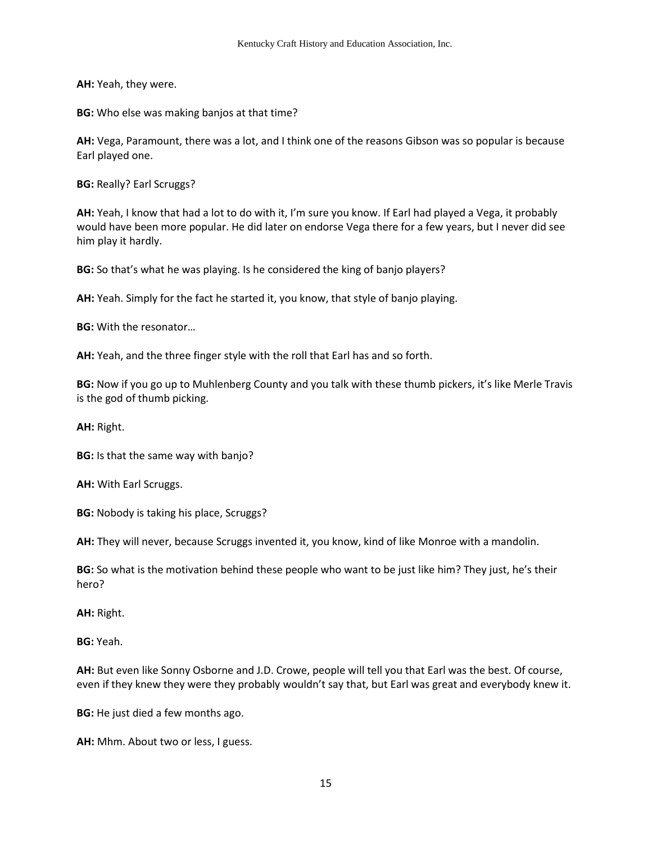**AH:** Yeah, they were.

**BG:** Who else was making banjos at that time?

**AH:** Vega, Paramount, there was a lot, and I think one of the reasons Gibson was so popular is because Earl played one.

**BG:** Really? Earl Scruggs?

**AH:** Yeah, I know that had a lot to do with it, I'm sure you know. If Earl had played a Vega, it probably would have been more popular. He did later on endorse Vega there for a few years, but I never did see him play it hardly.

**BG:** So that's what he was playing. Is he considered the king of banjo players?

**AH:** Yeah. Simply for the fact he started it, you know, that style of banjo playing.

**BG:** With the resonator…

**AH:** Yeah, and the three finger style with the roll that Earl has and so forth.

**BG:** Now if you go up to Muhlenberg County and you talk with these thumb pickers, it's like Merle Travis is the god of thumb picking.

**AH:** Right.

**BG:** Is that the same way with banjo?

**AH:** With Earl Scruggs.

**BG:** Nobody is taking his place, Scruggs?

**AH:** They will never, because Scruggs invented it, you know, kind of like Monroe with a mandolin.

**BG:** So what is the motivation behind these people who want to be just like him? They just, he's their hero?

**AH:** Right.

**BG:** Yeah.

**AH:** But even like Sonny Osborne and J.D. Crowe, people will tell you that Earl was the best. Of course, even if they knew they were they probably wouldn't say that, but Earl was great and everybody knew it.

**BG:** He just died a few months ago.

**AH:** Mhm. About two or less, I guess.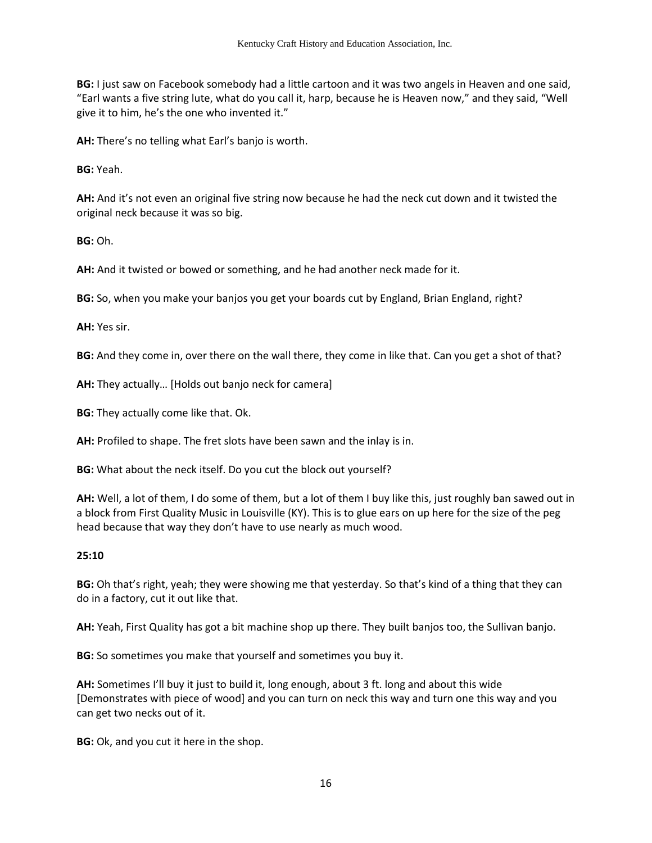**BG:** I just saw on Facebook somebody had a little cartoon and it was two angels in Heaven and one said, "Earl wants a five string lute, what do you call it, harp, because he is Heaven now," and they said, "Well give it to him, he's the one who invented it."

**AH:** There's no telling what Earl's banjo is worth.

**BG:** Yeah.

**AH:** And it's not even an original five string now because he had the neck cut down and it twisted the original neck because it was so big.

**BG:** Oh.

**AH:** And it twisted or bowed or something, and he had another neck made for it.

**BG:** So, when you make your banjos you get your boards cut by England, Brian England, right?

**AH:** Yes sir.

**BG:** And they come in, over there on the wall there, they come in like that. Can you get a shot of that?

**AH:** They actually… [Holds out banjo neck for camera]

**BG:** They actually come like that. Ok.

**AH:** Profiled to shape. The fret slots have been sawn and the inlay is in.

**BG:** What about the neck itself. Do you cut the block out yourself?

**AH:** Well, a lot of them, I do some of them, but a lot of them I buy like this, just roughly ban sawed out in a block from First Quality Music in Louisville (KY). This is to glue ears on up here for the size of the peg head because that way they don't have to use nearly as much wood.

#### **25:10**

**BG:** Oh that's right, yeah; they were showing me that yesterday. So that's kind of a thing that they can do in a factory, cut it out like that.

**AH:** Yeah, First Quality has got a bit machine shop up there. They built banjos too, the Sullivan banjo.

**BG:** So sometimes you make that yourself and sometimes you buy it.

**AH:** Sometimes I'll buy it just to build it, long enough, about 3 ft. long and about this wide [Demonstrates with piece of wood] and you can turn on neck this way and turn one this way and you can get two necks out of it.

**BG:** Ok, and you cut it here in the shop.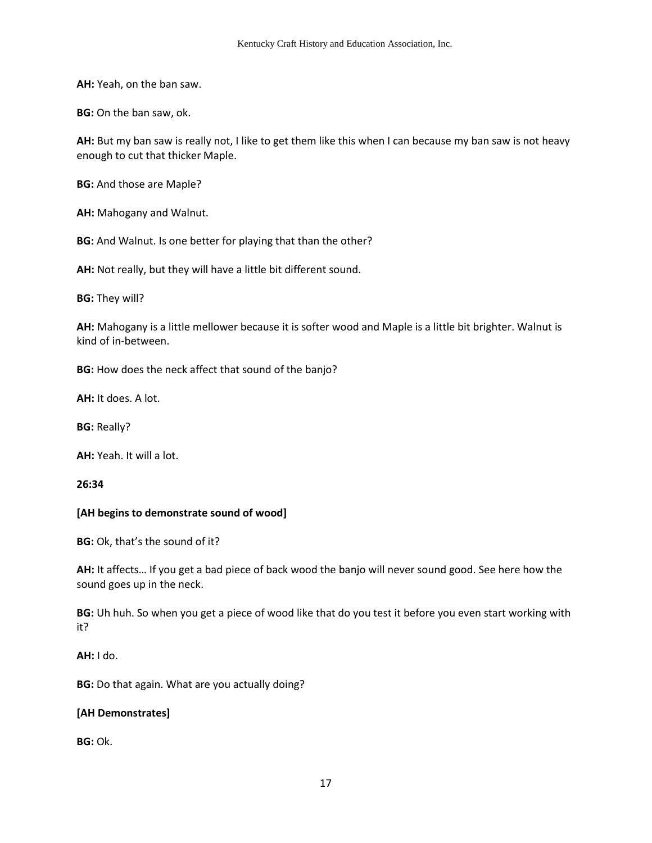**AH:** Yeah, on the ban saw.

**BG:** On the ban saw, ok.

**AH:** But my ban saw is really not, I like to get them like this when I can because my ban saw is not heavy enough to cut that thicker Maple.

**BG:** And those are Maple?

**AH:** Mahogany and Walnut.

**BG:** And Walnut. Is one better for playing that than the other?

**AH:** Not really, but they will have a little bit different sound.

**BG:** They will?

**AH:** Mahogany is a little mellower because it is softer wood and Maple is a little bit brighter. Walnut is kind of in-between.

**BG:** How does the neck affect that sound of the banjo?

**AH:** It does. A lot.

**BG:** Really?

**AH:** Yeah. It will a lot.

**26:34** 

## **[AH begins to demonstrate sound of wood]**

**BG:** Ok, that's the sound of it?

**AH:** It affects… If you get a bad piece of back wood the banjo will never sound good. See here how the sound goes up in the neck.

**BG:** Uh huh. So when you get a piece of wood like that do you test it before you even start working with it?

**AH:** I do.

**BG:** Do that again. What are you actually doing?

## **[AH Demonstrates]**

**BG:** Ok.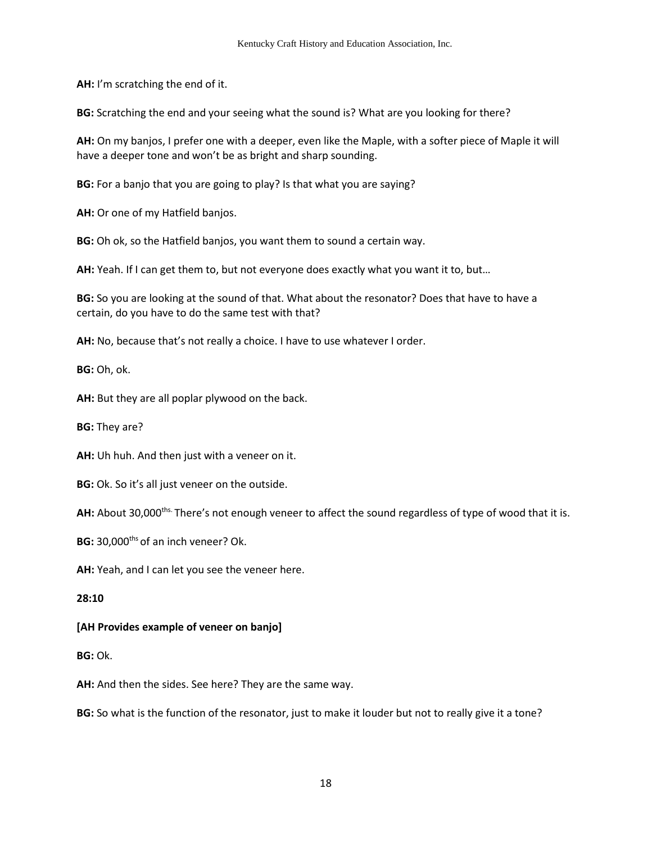**AH:** I'm scratching the end of it.

**BG:** Scratching the end and your seeing what the sound is? What are you looking for there?

**AH:** On my banjos, I prefer one with a deeper, even like the Maple, with a softer piece of Maple it will have a deeper tone and won't be as bright and sharp sounding.

**BG:** For a banjo that you are going to play? Is that what you are saying?

**AH:** Or one of my Hatfield banjos.

**BG:** Oh ok, so the Hatfield banjos, you want them to sound a certain way.

**AH:** Yeah. If I can get them to, but not everyone does exactly what you want it to, but…

**BG:** So you are looking at the sound of that. What about the resonator? Does that have to have a certain, do you have to do the same test with that?

**AH:** No, because that's not really a choice. I have to use whatever I order.

**BG:** Oh, ok.

**AH:** But they are all poplar plywood on the back.

**BG:** They are?

**AH:** Uh huh. And then just with a veneer on it.

**BG:** Ok. So it's all just veneer on the outside.

AH: About 30,000<sup>ths.</sup> There's not enough veneer to affect the sound regardless of type of wood that it is.

**BG:** 30,000<sup>ths</sup> of an inch veneer? Ok.

**AH:** Yeah, and I can let you see the veneer here.

#### **28:10**

## **[AH Provides example of veneer on banjo]**

**BG:** Ok.

**AH:** And then the sides. See here? They are the same way.

**BG:** So what is the function of the resonator, just to make it louder but not to really give it a tone?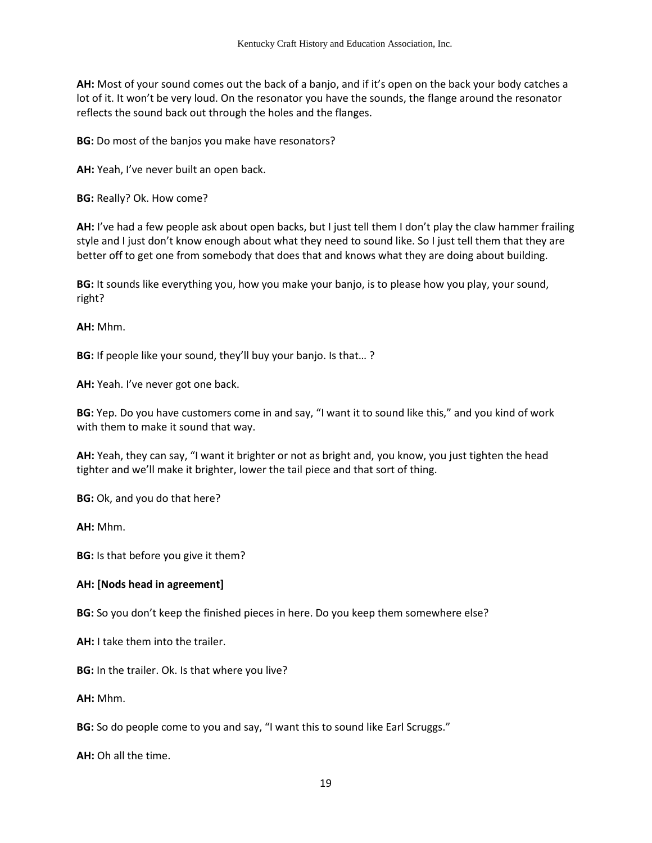**AH:** Most of your sound comes out the back of a banjo, and if it's open on the back your body catches a lot of it. It won't be very loud. On the resonator you have the sounds, the flange around the resonator reflects the sound back out through the holes and the flanges.

**BG:** Do most of the banjos you make have resonators?

**AH:** Yeah, I've never built an open back.

**BG:** Really? Ok. How come?

**AH:** I've had a few people ask about open backs, but I just tell them I don't play the claw hammer frailing style and I just don't know enough about what they need to sound like. So I just tell them that they are better off to get one from somebody that does that and knows what they are doing about building.

**BG:** It sounds like everything you, how you make your banjo, is to please how you play, your sound, right?

**AH:** Mhm.

**BG:** If people like your sound, they'll buy your banjo. Is that… ?

**AH:** Yeah. I've never got one back.

**BG:** Yep. Do you have customers come in and say, "I want it to sound like this," and you kind of work with them to make it sound that way.

**AH:** Yeah, they can say, "I want it brighter or not as bright and, you know, you just tighten the head tighter and we'll make it brighter, lower the tail piece and that sort of thing.

**BG:** Ok, and you do that here?

**AH:** Mhm.

**BG:** Is that before you give it them?

## **AH: [Nods head in agreement]**

**BG:** So you don't keep the finished pieces in here. Do you keep them somewhere else?

**AH:** I take them into the trailer.

**BG:** In the trailer. Ok. Is that where you live?

**AH:** Mhm.

**BG:** So do people come to you and say, "I want this to sound like Earl Scruggs."

**AH:** Oh all the time.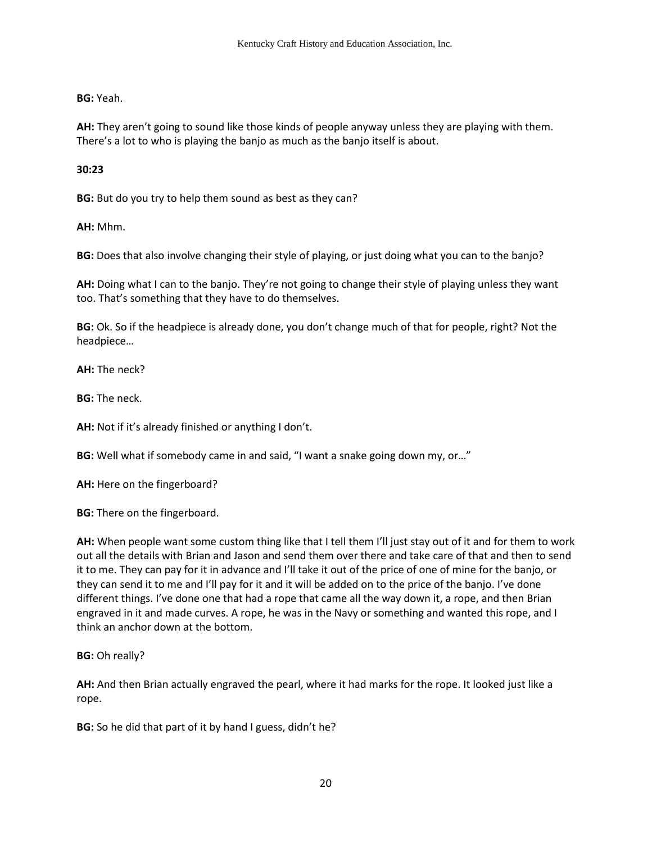**BG:** Yeah.

**AH:** They aren't going to sound like those kinds of people anyway unless they are playing with them. There's a lot to who is playing the banjo as much as the banjo itself is about.

**30:23**

**BG:** But do you try to help them sound as best as they can?

**AH:** Mhm.

**BG:** Does that also involve changing their style of playing, or just doing what you can to the banjo?

**AH:** Doing what I can to the banjo. They're not going to change their style of playing unless they want too. That's something that they have to do themselves.

**BG:** Ok. So if the headpiece is already done, you don't change much of that for people, right? Not the headpiece…

**AH:** The neck?

**BG:** The neck.

**AH:** Not if it's already finished or anything I don't.

**BG:** Well what if somebody came in and said, "I want a snake going down my, or…"

**AH:** Here on the fingerboard?

**BG:** There on the fingerboard.

**AH:** When people want some custom thing like that I tell them I'll just stay out of it and for them to work out all the details with Brian and Jason and send them over there and take care of that and then to send it to me. They can pay for it in advance and I'll take it out of the price of one of mine for the banjo, or they can send it to me and I'll pay for it and it will be added on to the price of the banjo. I've done different things. I've done one that had a rope that came all the way down it, a rope, and then Brian engraved in it and made curves. A rope, he was in the Navy or something and wanted this rope, and I think an anchor down at the bottom.

**BG:** Oh really?

**AH:** And then Brian actually engraved the pearl, where it had marks for the rope. It looked just like a rope.

**BG:** So he did that part of it by hand I guess, didn't he?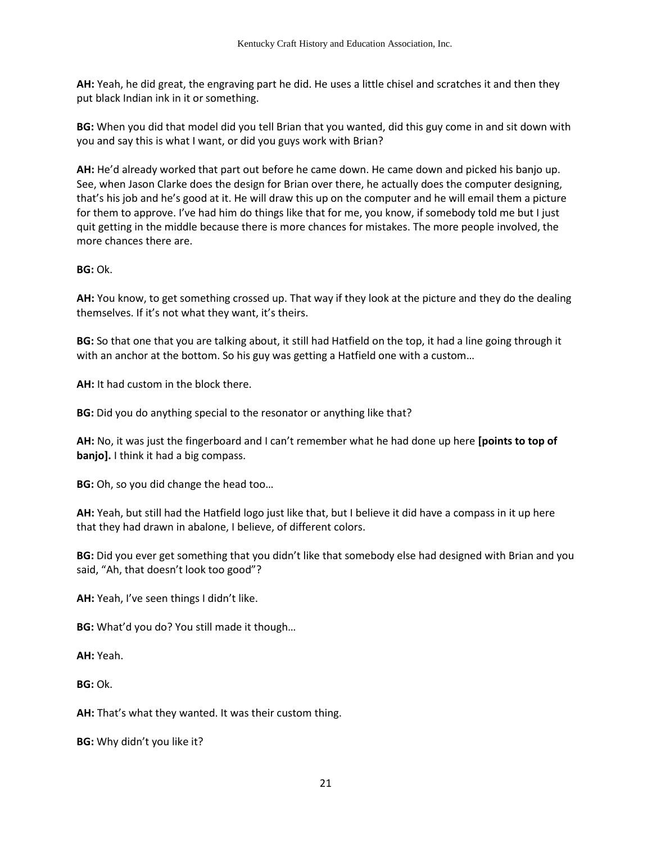**AH:** Yeah, he did great, the engraving part he did. He uses a little chisel and scratches it and then they put black Indian ink in it or something.

**BG:** When you did that model did you tell Brian that you wanted, did this guy come in and sit down with you and say this is what I want, or did you guys work with Brian?

**AH:** He'd already worked that part out before he came down. He came down and picked his banjo up. See, when Jason Clarke does the design for Brian over there, he actually does the computer designing, that's his job and he's good at it. He will draw this up on the computer and he will email them a picture for them to approve. I've had him do things like that for me, you know, if somebody told me but I just quit getting in the middle because there is more chances for mistakes. The more people involved, the more chances there are.

**BG:** Ok.

**AH:** You know, to get something crossed up. That way if they look at the picture and they do the dealing themselves. If it's not what they want, it's theirs.

**BG:** So that one that you are talking about, it still had Hatfield on the top, it had a line going through it with an anchor at the bottom. So his guy was getting a Hatfield one with a custom…

**AH:** It had custom in the block there.

**BG:** Did you do anything special to the resonator or anything like that?

**AH:** No, it was just the fingerboard and I can't remember what he had done up here **[points to top of banjo].** I think it had a big compass.

**BG:** Oh, so you did change the head too…

**AH:** Yeah, but still had the Hatfield logo just like that, but I believe it did have a compass in it up here that they had drawn in abalone, I believe, of different colors.

**BG:** Did you ever get something that you didn't like that somebody else had designed with Brian and you said, "Ah, that doesn't look too good"?

**AH:** Yeah, I've seen things I didn't like.

**BG:** What'd you do? You still made it though…

**AH:** Yeah.

**BG:** Ok.

**AH:** That's what they wanted. It was their custom thing.

**BG:** Why didn't you like it?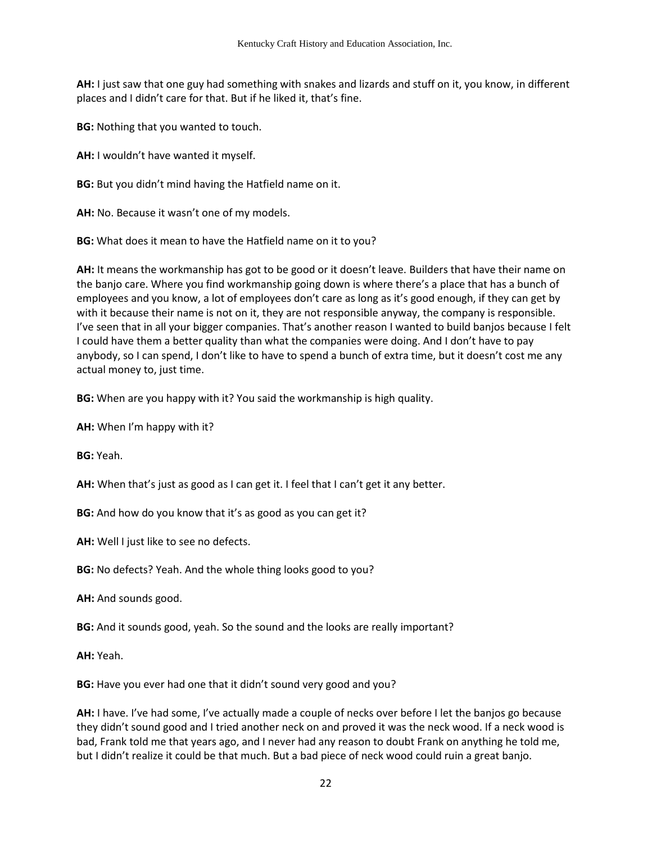**AH:** I just saw that one guy had something with snakes and lizards and stuff on it, you know, in different places and I didn't care for that. But if he liked it, that's fine.

**BG:** Nothing that you wanted to touch.

**AH:** I wouldn't have wanted it myself.

**BG:** But you didn't mind having the Hatfield name on it.

**AH:** No. Because it wasn't one of my models.

**BG:** What does it mean to have the Hatfield name on it to you?

**AH:** It means the workmanship has got to be good or it doesn't leave. Builders that have their name on the banjo care. Where you find workmanship going down is where there's a place that has a bunch of employees and you know, a lot of employees don't care as long as it's good enough, if they can get by with it because their name is not on it, they are not responsible anyway, the company is responsible. I've seen that in all your bigger companies. That's another reason I wanted to build banjos because I felt I could have them a better quality than what the companies were doing. And I don't have to pay anybody, so I can spend, I don't like to have to spend a bunch of extra time, but it doesn't cost me any actual money to, just time.

**BG:** When are you happy with it? You said the workmanship is high quality.

**AH:** When I'm happy with it?

**BG:** Yeah.

**AH:** When that's just as good as I can get it. I feel that I can't get it any better.

**BG:** And how do you know that it's as good as you can get it?

**AH:** Well I just like to see no defects.

**BG:** No defects? Yeah. And the whole thing looks good to you?

**AH:** And sounds good.

**BG:** And it sounds good, yeah. So the sound and the looks are really important?

**AH:** Yeah.

**BG:** Have you ever had one that it didn't sound very good and you?

**AH:** I have. I've had some, I've actually made a couple of necks over before I let the banjos go because they didn't sound good and I tried another neck on and proved it was the neck wood. If a neck wood is bad, Frank told me that years ago, and I never had any reason to doubt Frank on anything he told me, but I didn't realize it could be that much. But a bad piece of neck wood could ruin a great banjo.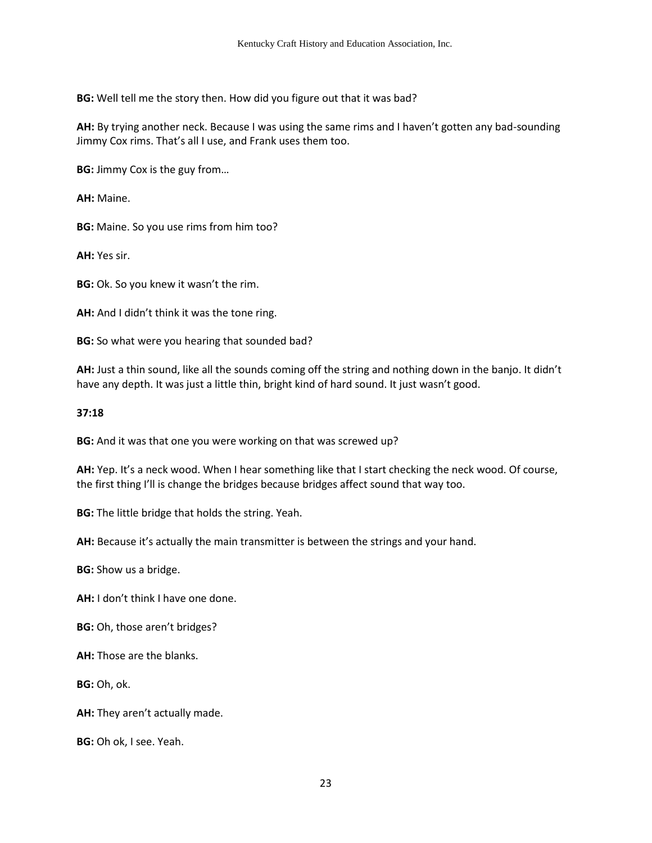**BG:** Well tell me the story then. How did you figure out that it was bad?

**AH:** By trying another neck. Because I was using the same rims and I haven't gotten any bad-sounding Jimmy Cox rims. That's all I use, and Frank uses them too.

**BG:** Jimmy Cox is the guy from…

**AH:** Maine.

**BG:** Maine. So you use rims from him too?

**AH:** Yes sir.

**BG:** Ok. So you knew it wasn't the rim.

**AH:** And I didn't think it was the tone ring.

**BG:** So what were you hearing that sounded bad?

**AH:** Just a thin sound, like all the sounds coming off the string and nothing down in the banjo. It didn't have any depth. It was just a little thin, bright kind of hard sound. It just wasn't good.

#### **37:18**

**BG:** And it was that one you were working on that was screwed up?

**AH:** Yep. It's a neck wood. When I hear something like that I start checking the neck wood. Of course, the first thing I'll is change the bridges because bridges affect sound that way too.

**BG:** The little bridge that holds the string. Yeah.

**AH:** Because it's actually the main transmitter is between the strings and your hand.

**BG:** Show us a bridge.

**AH:** I don't think I have one done.

**BG:** Oh, those aren't bridges?

**AH:** Those are the blanks.

**BG:** Oh, ok.

**AH:** They aren't actually made.

**BG:** Oh ok, I see. Yeah.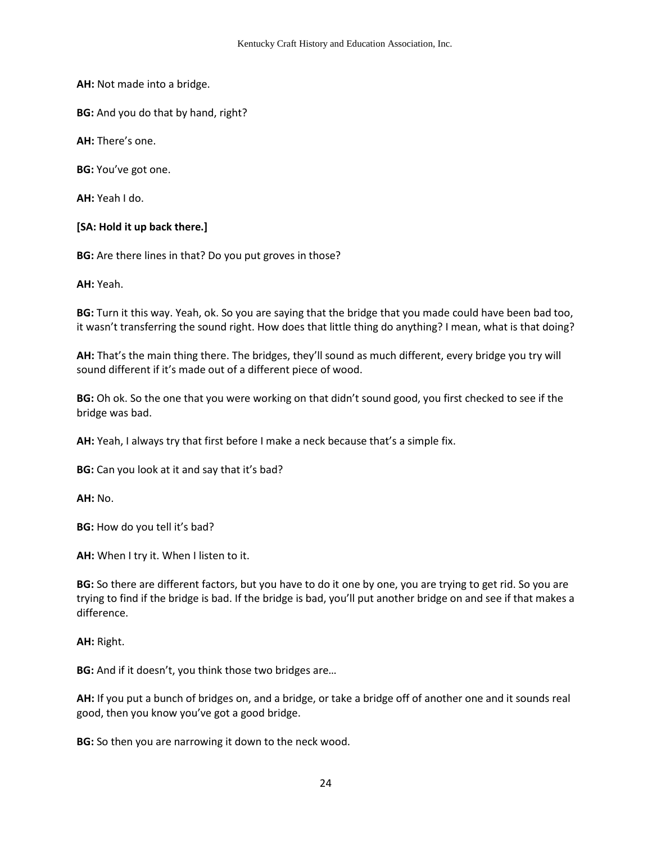**AH:** Not made into a bridge.

**BG:** And you do that by hand, right?

**AH:** There's one.

**BG:** You've got one.

**AH:** Yeah I do.

#### **[SA: Hold it up back there.]**

**BG:** Are there lines in that? Do you put groves in those?

**AH:** Yeah.

**BG:** Turn it this way. Yeah, ok. So you are saying that the bridge that you made could have been bad too, it wasn't transferring the sound right. How does that little thing do anything? I mean, what is that doing?

**AH:** That's the main thing there. The bridges, they'll sound as much different, every bridge you try will sound different if it's made out of a different piece of wood.

**BG:** Oh ok. So the one that you were working on that didn't sound good, you first checked to see if the bridge was bad.

**AH:** Yeah, I always try that first before I make a neck because that's a simple fix.

**BG:** Can you look at it and say that it's bad?

**AH:** No.

**BG:** How do you tell it's bad?

**AH:** When I try it. When I listen to it.

**BG:** So there are different factors, but you have to do it one by one, you are trying to get rid. So you are trying to find if the bridge is bad. If the bridge is bad, you'll put another bridge on and see if that makes a difference.

**AH:** Right.

**BG:** And if it doesn't, you think those two bridges are…

**AH:** If you put a bunch of bridges on, and a bridge, or take a bridge off of another one and it sounds real good, then you know you've got a good bridge.

**BG:** So then you are narrowing it down to the neck wood.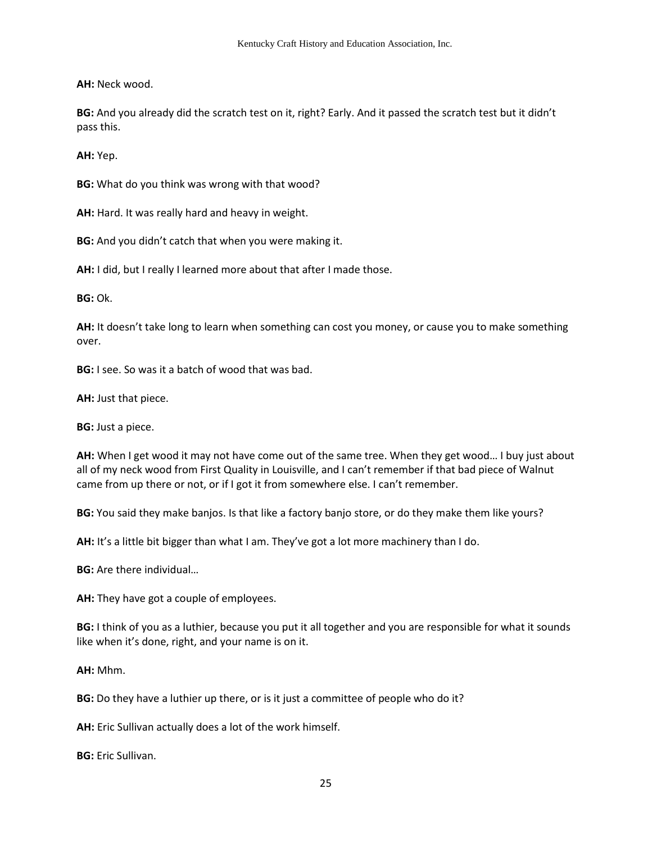**AH:** Neck wood.

**BG:** And you already did the scratch test on it, right? Early. And it passed the scratch test but it didn't pass this.

**AH:** Yep.

**BG:** What do you think was wrong with that wood?

**AH:** Hard. It was really hard and heavy in weight.

**BG:** And you didn't catch that when you were making it.

**AH:** I did, but I really I learned more about that after I made those.

**BG:** Ok.

**AH:** It doesn't take long to learn when something can cost you money, or cause you to make something over.

**BG:** I see. So was it a batch of wood that was bad.

**AH:** Just that piece.

**BG:** Just a piece.

**AH:** When I get wood it may not have come out of the same tree. When they get wood… I buy just about all of my neck wood from First Quality in Louisville, and I can't remember if that bad piece of Walnut came from up there or not, or if I got it from somewhere else. I can't remember.

**BG:** You said they make banjos. Is that like a factory banjo store, or do they make them like yours?

**AH:** It's a little bit bigger than what I am. They've got a lot more machinery than I do.

**BG:** Are there individual…

**AH:** They have got a couple of employees.

**BG:** I think of you as a luthier, because you put it all together and you are responsible for what it sounds like when it's done, right, and your name is on it.

**AH:** Mhm.

**BG:** Do they have a luthier up there, or is it just a committee of people who do it?

**AH:** Eric Sullivan actually does a lot of the work himself.

**BG:** Eric Sullivan.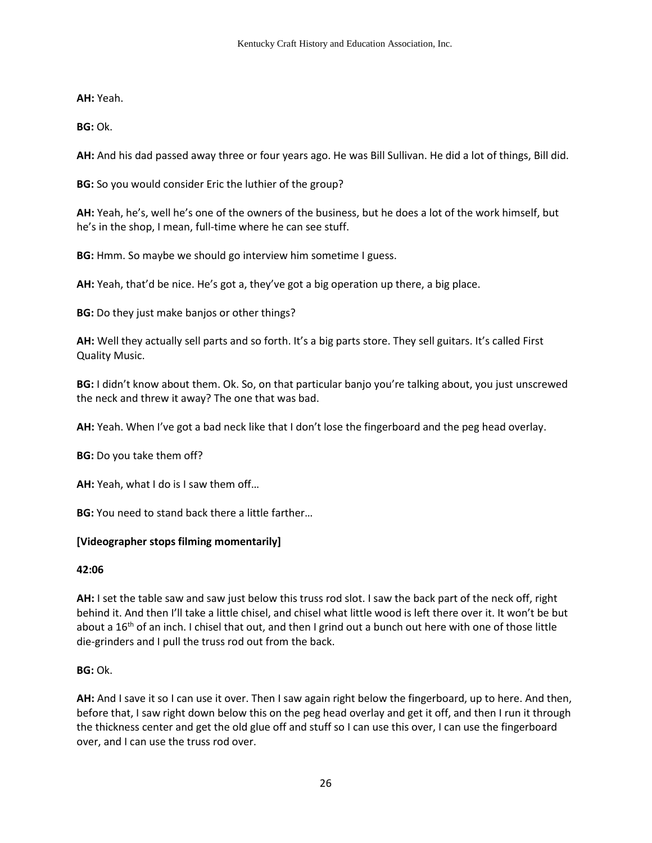**AH:** Yeah.

**BG:** Ok.

**AH:** And his dad passed away three or four years ago. He was Bill Sullivan. He did a lot of things, Bill did.

**BG:** So you would consider Eric the luthier of the group?

**AH:** Yeah, he's, well he's one of the owners of the business, but he does a lot of the work himself, but he's in the shop, I mean, full-time where he can see stuff.

**BG:** Hmm. So maybe we should go interview him sometime I guess.

**AH:** Yeah, that'd be nice. He's got a, they've got a big operation up there, a big place.

**BG:** Do they just make banjos or other things?

**AH:** Well they actually sell parts and so forth. It's a big parts store. They sell guitars. It's called First Quality Music.

**BG:** I didn't know about them. Ok. So, on that particular banjo you're talking about, you just unscrewed the neck and threw it away? The one that was bad.

**AH:** Yeah. When I've got a bad neck like that I don't lose the fingerboard and the peg head overlay.

**BG:** Do you take them off?

**AH:** Yeah, what I do is I saw them off…

**BG:** You need to stand back there a little farther…

# **[Videographer stops filming momentarily]**

## **42:06**

**AH:** I set the table saw and saw just below this truss rod slot. I saw the back part of the neck off, right behind it. And then I'll take a little chisel, and chisel what little wood is left there over it. It won't be but about a  $16<sup>th</sup>$  of an inch. I chisel that out, and then I grind out a bunch out here with one of those little die-grinders and I pull the truss rod out from the back.

## **BG:** Ok.

**AH:** And I save it so I can use it over. Then I saw again right below the fingerboard, up to here. And then, before that, I saw right down below this on the peg head overlay and get it off, and then I run it through the thickness center and get the old glue off and stuff so I can use this over, I can use the fingerboard over, and I can use the truss rod over.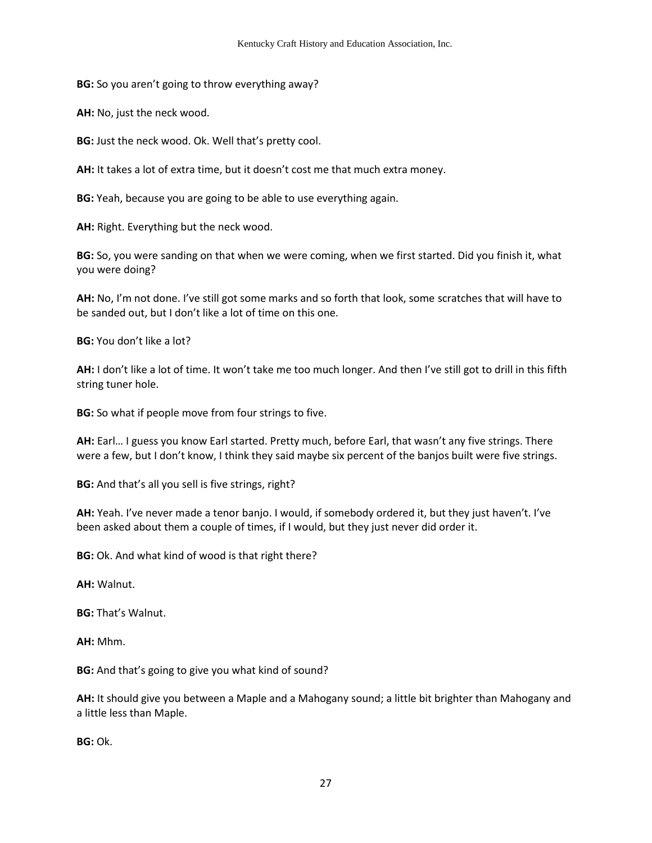**BG:** So you aren't going to throw everything away?

**AH:** No, just the neck wood.

**BG:** Just the neck wood. Ok. Well that's pretty cool.

**AH:** It takes a lot of extra time, but it doesn't cost me that much extra money.

**BG:** Yeah, because you are going to be able to use everything again.

**AH:** Right. Everything but the neck wood.

**BG:** So, you were sanding on that when we were coming, when we first started. Did you finish it, what you were doing?

**AH:** No, I'm not done. I've still got some marks and so forth that look, some scratches that will have to be sanded out, but I don't like a lot of time on this one.

**BG:** You don't like a lot?

**AH:** I don't like a lot of time. It won't take me too much longer. And then I've still got to drill in this fifth string tuner hole.

**BG:** So what if people move from four strings to five.

**AH:** Earl… I guess you know Earl started. Pretty much, before Earl, that wasn't any five strings. There were a few, but I don't know, I think they said maybe six percent of the banjos built were five strings.

**BG:** And that's all you sell is five strings, right?

**AH:** Yeah. I've never made a tenor banjo. I would, if somebody ordered it, but they just haven't. I've been asked about them a couple of times, if I would, but they just never did order it.

**BG:** Ok. And what kind of wood is that right there?

**AH:** Walnut.

**BG:** That's Walnut.

**AH:** Mhm.

**BG:** And that's going to give you what kind of sound?

**AH:** It should give you between a Maple and a Mahogany sound; a little bit brighter than Mahogany and a little less than Maple.

**BG:** Ok.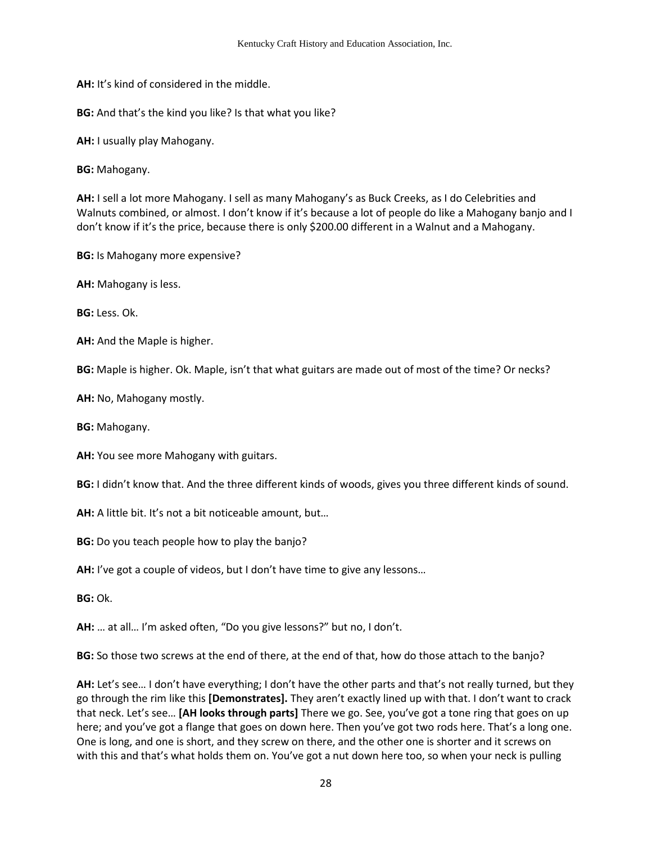**AH:** It's kind of considered in the middle.

**BG:** And that's the kind you like? Is that what you like?

**AH:** I usually play Mahogany.

**BG:** Mahogany.

**AH:** I sell a lot more Mahogany. I sell as many Mahogany's as Buck Creeks, as I do Celebrities and Walnuts combined, or almost. I don't know if it's because a lot of people do like a Mahogany banjo and I don't know if it's the price, because there is only \$200.00 different in a Walnut and a Mahogany.

**BG:** Is Mahogany more expensive?

**AH:** Mahogany is less.

**BG:** Less. Ok.

**AH:** And the Maple is higher.

**BG:** Maple is higher. Ok. Maple, isn't that what guitars are made out of most of the time? Or necks?

**AH:** No, Mahogany mostly.

**BG:** Mahogany.

**AH:** You see more Mahogany with guitars.

**BG:** I didn't know that. And the three different kinds of woods, gives you three different kinds of sound.

**AH:** A little bit. It's not a bit noticeable amount, but…

**BG:** Do you teach people how to play the banjo?

**AH:** I've got a couple of videos, but I don't have time to give any lessons…

**BG:** Ok.

**AH:** … at all… I'm asked often, "Do you give lessons?" but no, I don't.

**BG:** So those two screws at the end of there, at the end of that, how do those attach to the banjo?

**AH:** Let's see… I don't have everything; I don't have the other parts and that's not really turned, but they go through the rim like this **[Demonstrates].** They aren't exactly lined up with that. I don't want to crack that neck. Let's see… **[AH looks through parts]** There we go. See, you've got a tone ring that goes on up here; and you've got a flange that goes on down here. Then you've got two rods here. That's a long one. One is long, and one is short, and they screw on there, and the other one is shorter and it screws on with this and that's what holds them on. You've got a nut down here too, so when your neck is pulling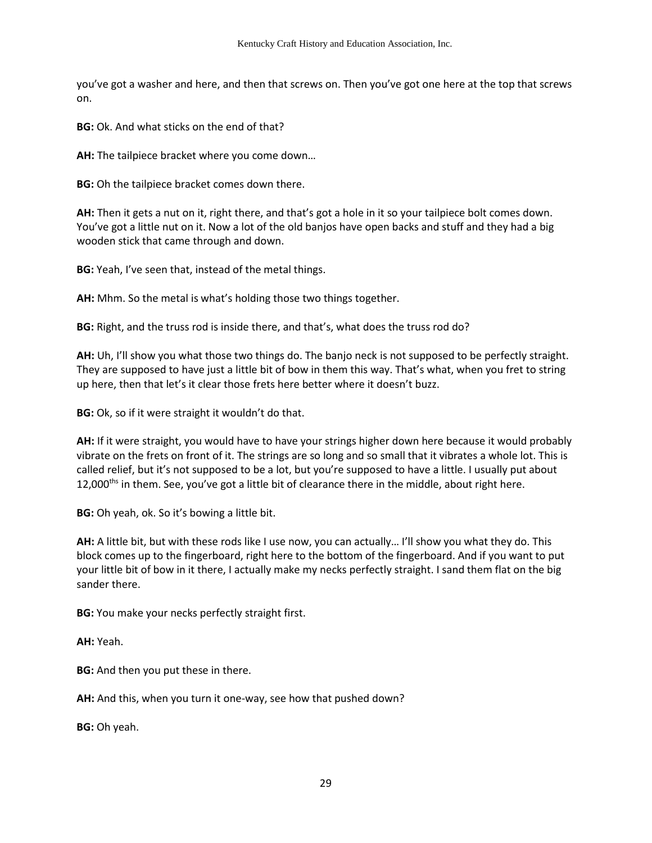you've got a washer and here, and then that screws on. Then you've got one here at the top that screws on.

**BG:** Ok. And what sticks on the end of that?

**AH:** The tailpiece bracket where you come down…

**BG:** Oh the tailpiece bracket comes down there.

**AH:** Then it gets a nut on it, right there, and that's got a hole in it so your tailpiece bolt comes down. You've got a little nut on it. Now a lot of the old banjos have open backs and stuff and they had a big wooden stick that came through and down.

**BG:** Yeah, I've seen that, instead of the metal things.

**AH:** Mhm. So the metal is what's holding those two things together.

**BG:** Right, and the truss rod is inside there, and that's, what does the truss rod do?

**AH:** Uh, I'll show you what those two things do. The banjo neck is not supposed to be perfectly straight. They are supposed to have just a little bit of bow in them this way. That's what, when you fret to string up here, then that let's it clear those frets here better where it doesn't buzz.

**BG:** Ok, so if it were straight it wouldn't do that.

**AH:** If it were straight, you would have to have your strings higher down here because it would probably vibrate on the frets on front of it. The strings are so long and so small that it vibrates a whole lot. This is called relief, but it's not supposed to be a lot, but you're supposed to have a little. I usually put about 12,000<sup>ths</sup> in them. See, you've got a little bit of clearance there in the middle, about right here.

**BG:** Oh yeah, ok. So it's bowing a little bit.

**AH:** A little bit, but with these rods like I use now, you can actually… I'll show you what they do. This block comes up to the fingerboard, right here to the bottom of the fingerboard. And if you want to put your little bit of bow in it there, I actually make my necks perfectly straight. I sand them flat on the big sander there.

**BG:** You make your necks perfectly straight first.

**AH:** Yeah.

**BG:** And then you put these in there.

**AH:** And this, when you turn it one-way, see how that pushed down?

**BG:** Oh yeah.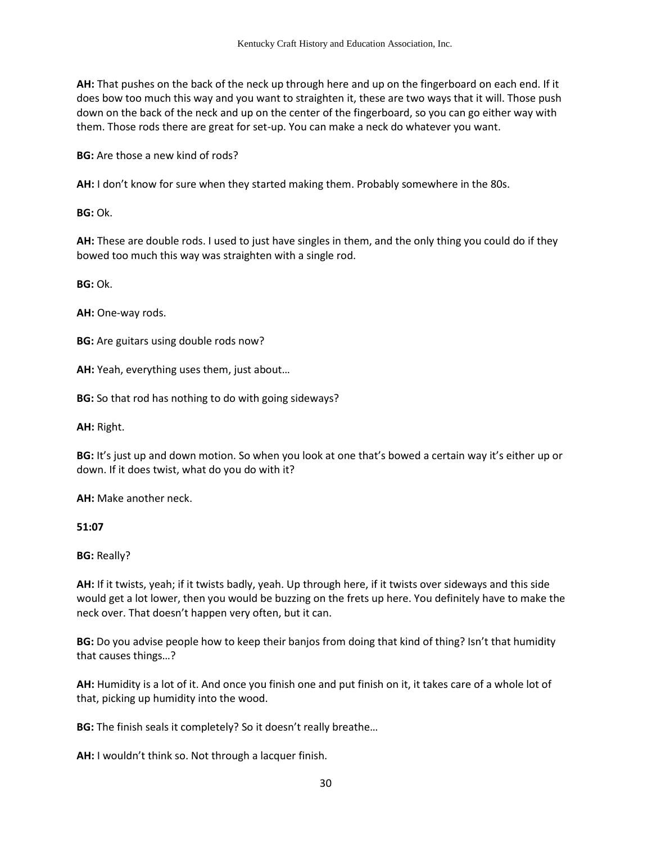**AH:** That pushes on the back of the neck up through here and up on the fingerboard on each end. If it does bow too much this way and you want to straighten it, these are two ways that it will. Those push down on the back of the neck and up on the center of the fingerboard, so you can go either way with them. Those rods there are great for set-up. You can make a neck do whatever you want.

**BG:** Are those a new kind of rods?

**AH:** I don't know for sure when they started making them. Probably somewhere in the 80s.

**BG:** Ok.

**AH:** These are double rods. I used to just have singles in them, and the only thing you could do if they bowed too much this way was straighten with a single rod.

**BG:** Ok.

**AH:** One-way rods.

**BG:** Are guitars using double rods now?

**AH:** Yeah, everything uses them, just about…

**BG:** So that rod has nothing to do with going sideways?

**AH:** Right.

**BG:** It's just up and down motion. So when you look at one that's bowed a certain way it's either up or down. If it does twist, what do you do with it?

**AH:** Make another neck.

**51:07** 

**BG:** Really?

**AH:** If it twists, yeah; if it twists badly, yeah. Up through here, if it twists over sideways and this side would get a lot lower, then you would be buzzing on the frets up here. You definitely have to make the neck over. That doesn't happen very often, but it can.

**BG:** Do you advise people how to keep their banjos from doing that kind of thing? Isn't that humidity that causes things…?

**AH:** Humidity is a lot of it. And once you finish one and put finish on it, it takes care of a whole lot of that, picking up humidity into the wood.

**BG:** The finish seals it completely? So it doesn't really breathe…

**AH:** I wouldn't think so. Not through a lacquer finish.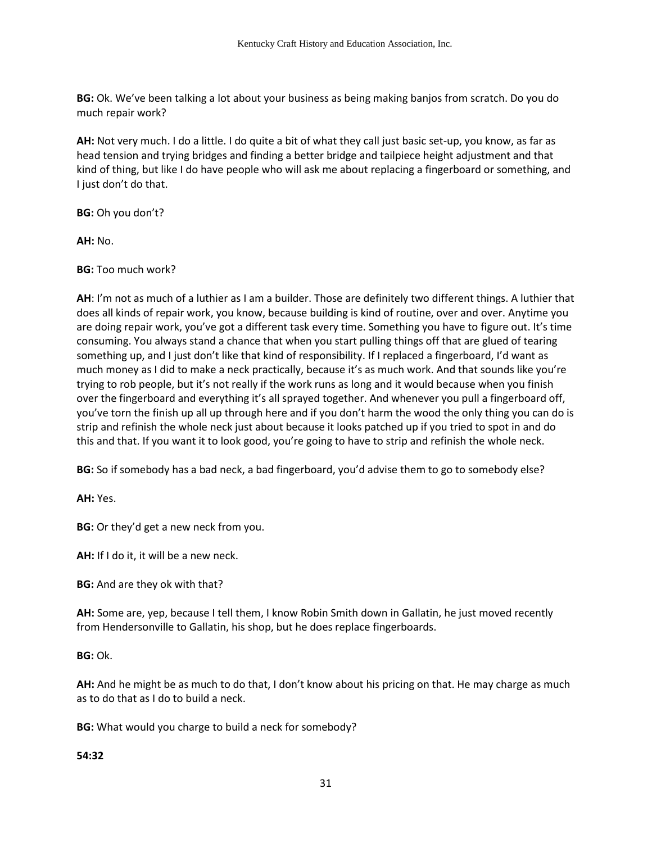**BG:** Ok. We've been talking a lot about your business as being making banjos from scratch. Do you do much repair work?

**AH:** Not very much. I do a little. I do quite a bit of what they call just basic set-up, you know, as far as head tension and trying bridges and finding a better bridge and tailpiece height adjustment and that kind of thing, but like I do have people who will ask me about replacing a fingerboard or something, and I just don't do that.

**BG:** Oh you don't?

**AH:** No.

**BG:** Too much work?

**AH**: I'm not as much of a luthier as I am a builder. Those are definitely two different things. A luthier that does all kinds of repair work, you know, because building is kind of routine, over and over. Anytime you are doing repair work, you've got a different task every time. Something you have to figure out. It's time consuming. You always stand a chance that when you start pulling things off that are glued of tearing something up, and I just don't like that kind of responsibility. If I replaced a fingerboard, I'd want as much money as I did to make a neck practically, because it's as much work. And that sounds like you're trying to rob people, but it's not really if the work runs as long and it would because when you finish over the fingerboard and everything it's all sprayed together. And whenever you pull a fingerboard off, you've torn the finish up all up through here and if you don't harm the wood the only thing you can do is strip and refinish the whole neck just about because it looks patched up if you tried to spot in and do this and that. If you want it to look good, you're going to have to strip and refinish the whole neck.

**BG:** So if somebody has a bad neck, a bad fingerboard, you'd advise them to go to somebody else?

**AH:** Yes.

**BG:** Or they'd get a new neck from you.

**AH:** If I do it, it will be a new neck.

**BG:** And are they ok with that?

**AH:** Some are, yep, because I tell them, I know Robin Smith down in Gallatin, he just moved recently from Hendersonville to Gallatin, his shop, but he does replace fingerboards.

**BG:** Ok.

**AH:** And he might be as much to do that, I don't know about his pricing on that. He may charge as much as to do that as I do to build a neck.

**BG:** What would you charge to build a neck for somebody?

**54:32**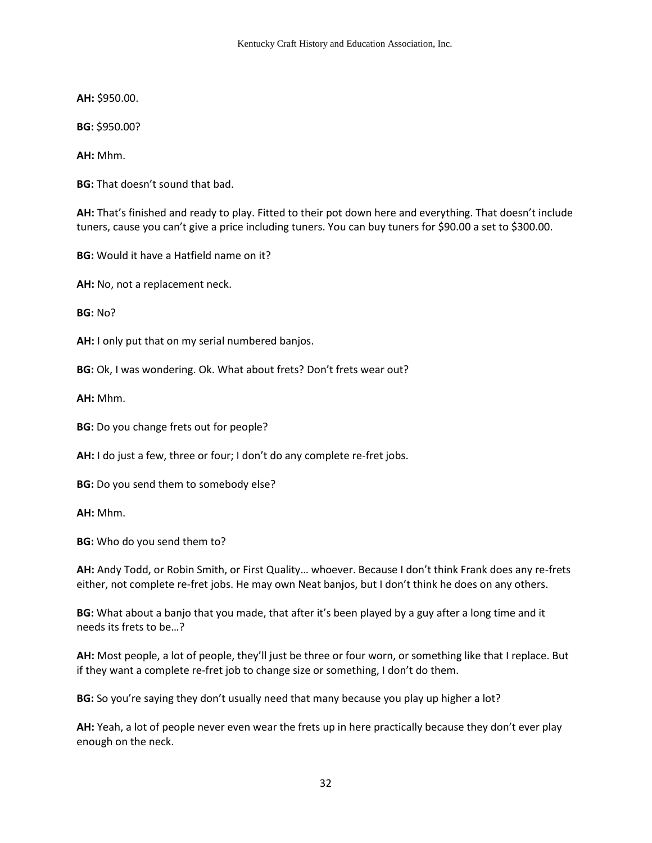**AH:** \$950.00.

**BG:** \$950.00?

**AH:** Mhm.

**BG:** That doesn't sound that bad.

**AH:** That's finished and ready to play. Fitted to their pot down here and everything. That doesn't include tuners, cause you can't give a price including tuners. You can buy tuners for \$90.00 a set to \$300.00.

**BG:** Would it have a Hatfield name on it?

**AH:** No, not a replacement neck.

**BG:** No?

**AH:** I only put that on my serial numbered banjos.

**BG:** Ok, I was wondering. Ok. What about frets? Don't frets wear out?

**AH:** Mhm.

**BG:** Do you change frets out for people?

**AH:** I do just a few, three or four; I don't do any complete re-fret jobs.

**BG:** Do you send them to somebody else?

**AH:** Mhm.

**BG:** Who do you send them to?

**AH:** Andy Todd, or Robin Smith, or First Quality… whoever. Because I don't think Frank does any re-frets either, not complete re-fret jobs. He may own Neat banjos, but I don't think he does on any others.

**BG:** What about a banjo that you made, that after it's been played by a guy after a long time and it needs its frets to be…?

**AH:** Most people, a lot of people, they'll just be three or four worn, or something like that I replace. But if they want a complete re-fret job to change size or something, I don't do them.

**BG:** So you're saying they don't usually need that many because you play up higher a lot?

**AH:** Yeah, a lot of people never even wear the frets up in here practically because they don't ever play enough on the neck.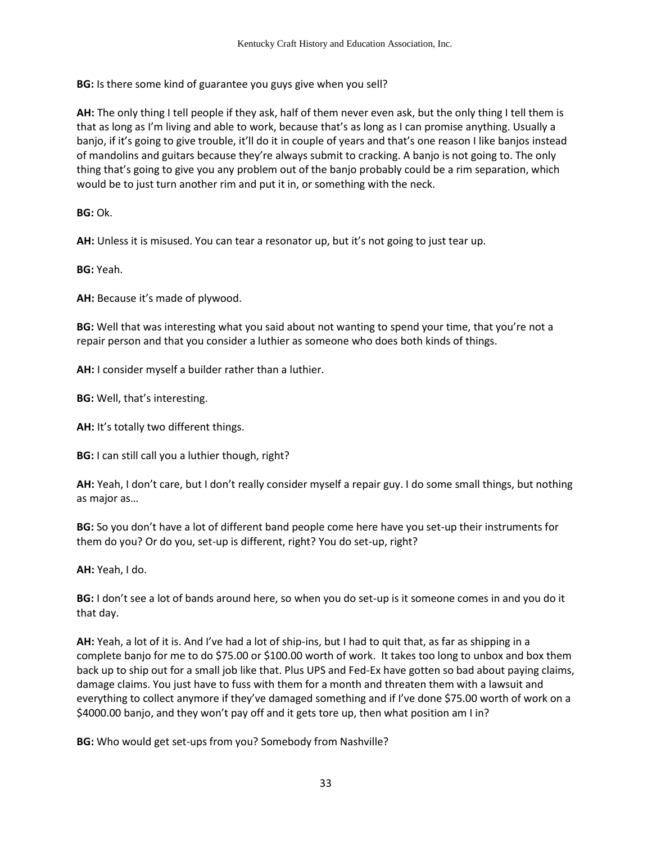**BG:** Is there some kind of guarantee you guys give when you sell?

**AH:** The only thing I tell people if they ask, half of them never even ask, but the only thing I tell them is that as long as I'm living and able to work, because that's as long as I can promise anything. Usually a banjo, if it's going to give trouble, it'll do it in couple of years and that's one reason I like banjos instead of mandolins and guitars because they're always submit to cracking. A banjo is not going to. The only thing that's going to give you any problem out of the banjo probably could be a rim separation, which would be to just turn another rim and put it in, or something with the neck.

**BG:** Ok.

**AH:** Unless it is misused. You can tear a resonator up, but it's not going to just tear up.

**BG:** Yeah.

**AH:** Because it's made of plywood.

**BG:** Well that was interesting what you said about not wanting to spend your time, that you're not a repair person and that you consider a luthier as someone who does both kinds of things.

**AH:** I consider myself a builder rather than a luthier.

**BG:** Well, that's interesting.

**AH:** It's totally two different things.

**BG:** I can still call you a luthier though, right?

**AH:** Yeah, I don't care, but I don't really consider myself a repair guy. I do some small things, but nothing as major as…

**BG:** So you don't have a lot of different band people come here have you set-up their instruments for them do you? Or do you, set-up is different, right? You do set-up, right?

**AH:** Yeah, I do.

**BG:** I don't see a lot of bands around here, so when you do set-up is it someone comes in and you do it that day.

**AH:** Yeah, a lot of it is. And I've had a lot of ship-ins, but I had to quit that, as far as shipping in a complete banjo for me to do \$75.00 or \$100.00 worth of work. It takes too long to unbox and box them back up to ship out for a small job like that. Plus UPS and Fed-Ex have gotten so bad about paying claims, damage claims. You just have to fuss with them for a month and threaten them with a lawsuit and everything to collect anymore if they've damaged something and if I've done \$75.00 worth of work on a \$4000.00 banjo, and they won't pay off and it gets tore up, then what position am I in?

**BG:** Who would get set-ups from you? Somebody from Nashville?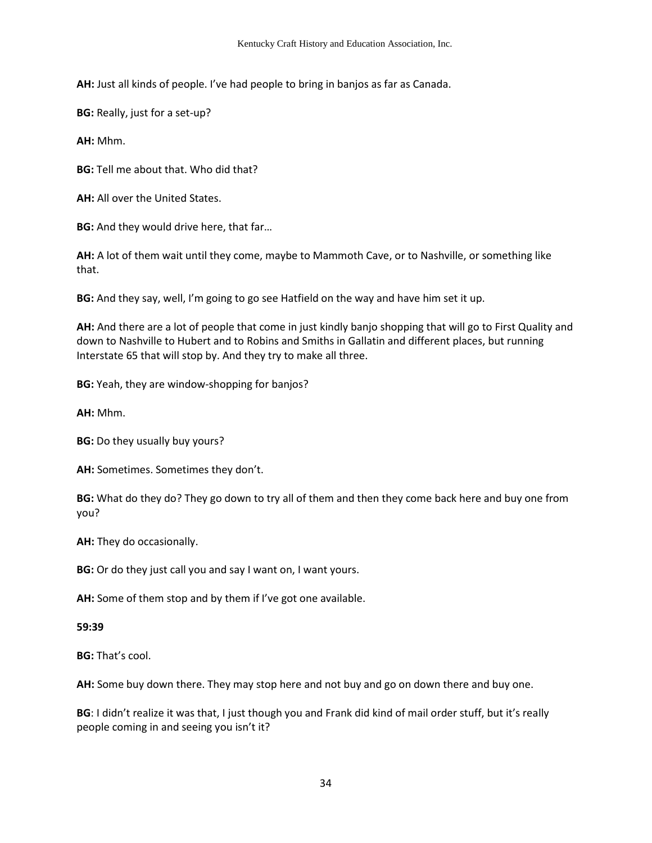**AH:** Just all kinds of people. I've had people to bring in banjos as far as Canada.

**BG:** Really, just for a set-up?

**AH:** Mhm.

**BG:** Tell me about that. Who did that?

**AH:** All over the United States.

**BG:** And they would drive here, that far…

**AH:** A lot of them wait until they come, maybe to Mammoth Cave, or to Nashville, or something like that.

**BG:** And they say, well, I'm going to go see Hatfield on the way and have him set it up.

**AH:** And there are a lot of people that come in just kindly banjo shopping that will go to First Quality and down to Nashville to Hubert and to Robins and Smiths in Gallatin and different places, but running Interstate 65 that will stop by. And they try to make all three.

**BG:** Yeah, they are window-shopping for banjos?

**AH:** Mhm.

**BG:** Do they usually buy yours?

**AH:** Sometimes. Sometimes they don't.

**BG:** What do they do? They go down to try all of them and then they come back here and buy one from you?

**AH:** They do occasionally.

**BG:** Or do they just call you and say I want on, I want yours.

**AH:** Some of them stop and by them if I've got one available.

**59:39**

**BG:** That's cool.

**AH:** Some buy down there. They may stop here and not buy and go on down there and buy one.

**BG**: I didn't realize it was that, I just though you and Frank did kind of mail order stuff, but it's really people coming in and seeing you isn't it?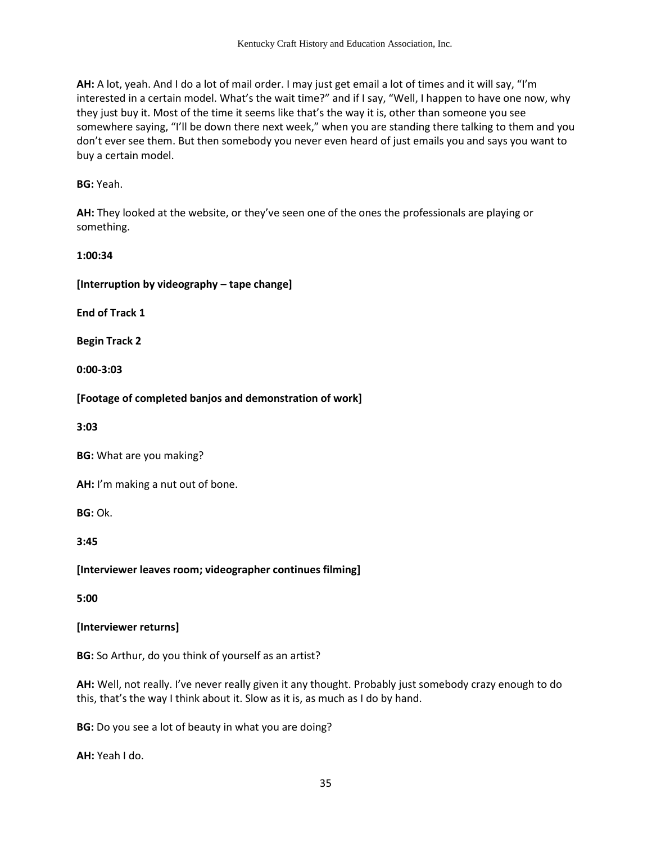**AH:** A lot, yeah. And I do a lot of mail order. I may just get email a lot of times and it will say, "I'm interested in a certain model. What's the wait time?" and if I say, "Well, I happen to have one now, why they just buy it. Most of the time it seems like that's the way it is, other than someone you see somewhere saying, "I'll be down there next week," when you are standing there talking to them and you don't ever see them. But then somebody you never even heard of just emails you and says you want to buy a certain model.

## **BG:** Yeah.

**AH:** They looked at the website, or they've seen one of the ones the professionals are playing or something.

**1:00:34**

#### **[Interruption by videography – tape change]**

**End of Track 1** 

**Begin Track 2**

**0:00-3:03** 

**[Footage of completed banjos and demonstration of work]** 

**3:03**

**BG:** What are you making?

**AH:** I'm making a nut out of bone.

**BG:** Ok.

**3:45**

**[Interviewer leaves room; videographer continues filming]** 

**5:00** 

## **[Interviewer returns]**

**BG:** So Arthur, do you think of yourself as an artist?

**AH:** Well, not really. I've never really given it any thought. Probably just somebody crazy enough to do this, that's the way I think about it. Slow as it is, as much as I do by hand.

**BG:** Do you see a lot of beauty in what you are doing?

**AH:** Yeah I do.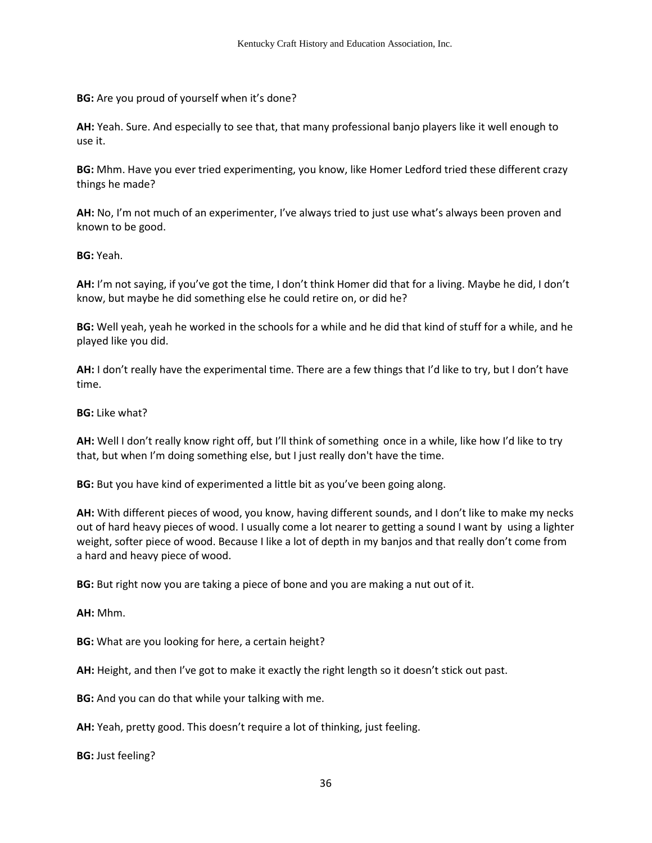**BG:** Are you proud of yourself when it's done?

**AH:** Yeah. Sure. And especially to see that, that many professional banjo players like it well enough to use it.

**BG:** Mhm. Have you ever tried experimenting, you know, like Homer Ledford tried these different crazy things he made?

**AH:** No, I'm not much of an experimenter, I've always tried to just use what's always been proven and known to be good.

**BG:** Yeah.

**AH:** I'm not saying, if you've got the time, I don't think Homer did that for a living. Maybe he did, I don't know, but maybe he did something else he could retire on, or did he?

**BG:** Well yeah, yeah he worked in the schools for a while and he did that kind of stuff for a while, and he played like you did.

**AH:** I don't really have the experimental time. There are a few things that I'd like to try, but I don't have time.

**BG:** Like what?

**AH:** Well I don't really know right off, but I'll think of something once in a while, like how I'd like to try that, but when I'm doing something else, but I just really don't have the time.

**BG:** But you have kind of experimented a little bit as you've been going along.

**AH:** With different pieces of wood, you know, having different sounds, and I don't like to make my necks out of hard heavy pieces of wood. I usually come a lot nearer to getting a sound I want by using a lighter weight, softer piece of wood. Because I like a lot of depth in my banjos and that really don't come from a hard and heavy piece of wood.

**BG:** But right now you are taking a piece of bone and you are making a nut out of it.

**AH:** Mhm.

**BG:** What are you looking for here, a certain height?

**AH:** Height, and then I've got to make it exactly the right length so it doesn't stick out past.

**BG:** And you can do that while your talking with me.

**AH:** Yeah, pretty good. This doesn't require a lot of thinking, just feeling.

**BG:** Just feeling?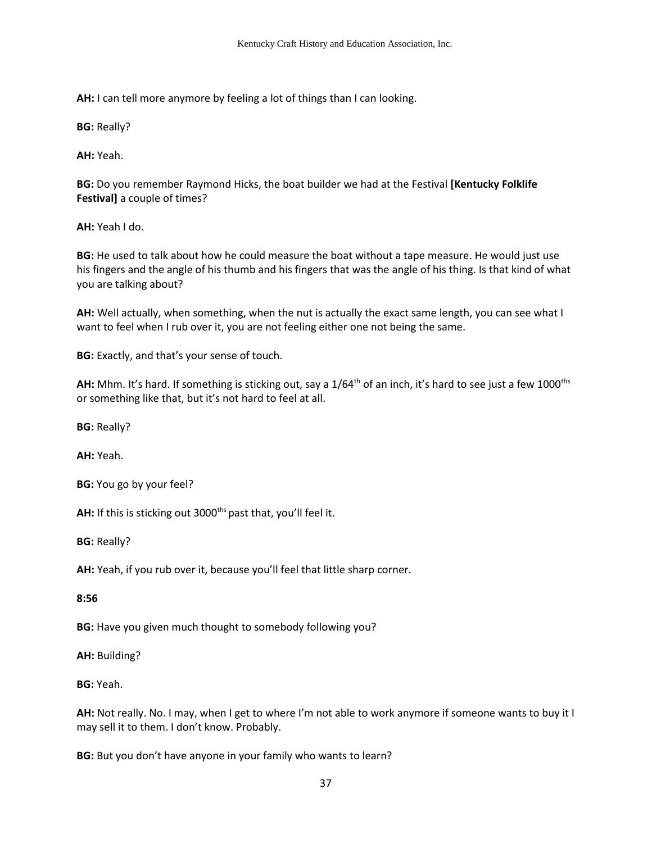**AH:** I can tell more anymore by feeling a lot of things than I can looking.

**BG:** Really?

**AH:** Yeah.

**BG:** Do you remember Raymond Hicks, the boat builder we had at the Festival **[Kentucky Folklife Festival]** a couple of times?

**AH:** Yeah I do.

**BG:** He used to talk about how he could measure the boat without a tape measure. He would just use his fingers and the angle of his thumb and his fingers that was the angle of his thing. Is that kind of what you are talking about?

**AH:** Well actually, when something, when the nut is actually the exact same length, you can see what I want to feel when I rub over it, you are not feeling either one not being the same.

**BG:** Exactly, and that's your sense of touch.

AH: Mhm. It's hard. If something is sticking out, say a 1/64<sup>th</sup> of an inch, it's hard to see just a few 1000<sup>ths</sup> or something like that, but it's not hard to feel at all.

**BG:** Really?

**AH:** Yeah.

**BG:** You go by your feel?

AH: If this is sticking out 3000<sup>ths</sup> past that, you'll feel it.

**BG:** Really?

**AH:** Yeah, if you rub over it, because you'll feel that little sharp corner.

**8:56** 

**BG:** Have you given much thought to somebody following you?

**AH:** Building?

**BG:** Yeah.

**AH:** Not really. No. I may, when I get to where I'm not able to work anymore if someone wants to buy it I may sell it to them. I don't know. Probably.

**BG:** But you don't have anyone in your family who wants to learn?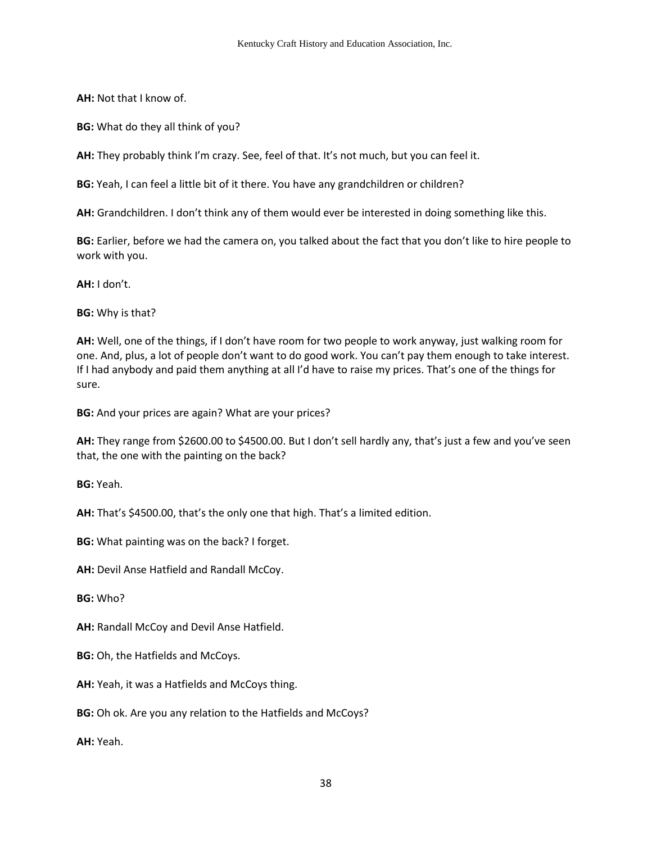**AH:** Not that I know of.

**BG:** What do they all think of you?

**AH:** They probably think I'm crazy. See, feel of that. It's not much, but you can feel it.

**BG:** Yeah, I can feel a little bit of it there. You have any grandchildren or children?

**AH:** Grandchildren. I don't think any of them would ever be interested in doing something like this.

**BG:** Earlier, before we had the camera on, you talked about the fact that you don't like to hire people to work with you.

**AH:** I don't.

**BG:** Why is that?

**AH:** Well, one of the things, if I don't have room for two people to work anyway, just walking room for one. And, plus, a lot of people don't want to do good work. You can't pay them enough to take interest. If I had anybody and paid them anything at all I'd have to raise my prices. That's one of the things for sure.

**BG:** And your prices are again? What are your prices?

**AH:** They range from \$2600.00 to \$4500.00. But I don't sell hardly any, that's just a few and you've seen that, the one with the painting on the back?

**BG:** Yeah.

**AH:** That's \$4500.00, that's the only one that high. That's a limited edition.

**BG:** What painting was on the back? I forget.

**AH:** Devil Anse Hatfield and Randall McCoy.

**BG:** Who?

**AH:** Randall McCoy and Devil Anse Hatfield.

**BG:** Oh, the Hatfields and McCoys.

**AH:** Yeah, it was a Hatfields and McCoys thing.

**BG:** Oh ok. Are you any relation to the Hatfields and McCoys?

**AH:** Yeah.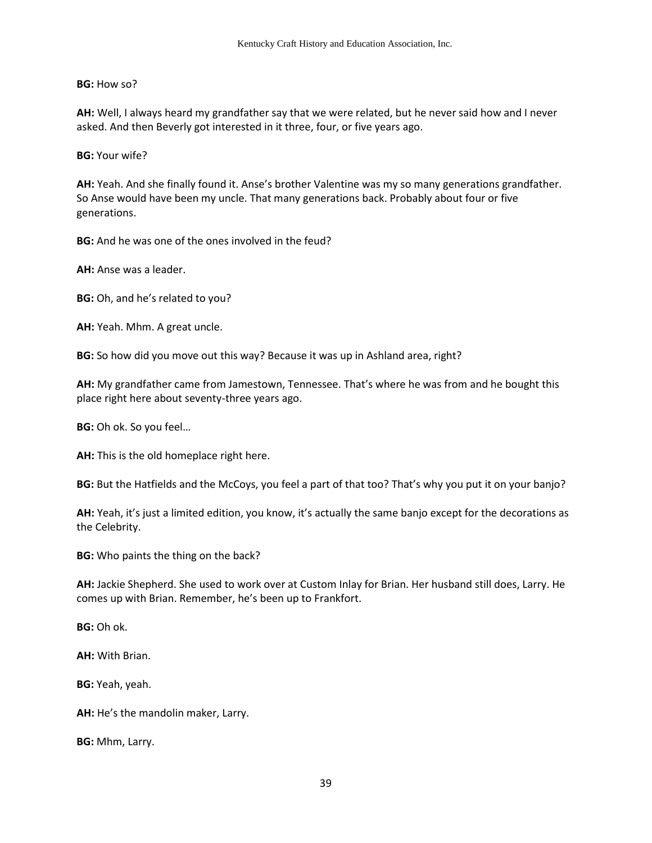**BG:** How so?

**AH:** Well, I always heard my grandfather say that we were related, but he never said how and I never asked. And then Beverly got interested in it three, four, or five years ago.

**BG:** Your wife?

**AH:** Yeah. And she finally found it. Anse's brother Valentine was my so many generations grandfather. So Anse would have been my uncle. That many generations back. Probably about four or five generations.

**BG:** And he was one of the ones involved in the feud?

**AH:** Anse was a leader.

**BG:** Oh, and he's related to you?

**AH:** Yeah. Mhm. A great uncle.

**BG:** So how did you move out this way? Because it was up in Ashland area, right?

**AH:** My grandfather came from Jamestown, Tennessee. That's where he was from and he bought this place right here about seventy-three years ago.

**BG:** Oh ok. So you feel…

**AH:** This is the old homeplace right here.

**BG:** But the Hatfields and the McCoys, you feel a part of that too? That's why you put it on your banjo?

**AH:** Yeah, it's just a limited edition, you know, it's actually the same banjo except for the decorations as the Celebrity.

**BG:** Who paints the thing on the back?

**AH:** Jackie Shepherd. She used to work over at Custom Inlay for Brian. Her husband still does, Larry. He comes up with Brian. Remember, he's been up to Frankfort.

**BG:** Oh ok.

**AH:** With Brian.

**BG:** Yeah, yeah.

**AH:** He's the mandolin maker, Larry.

**BG:** Mhm, Larry.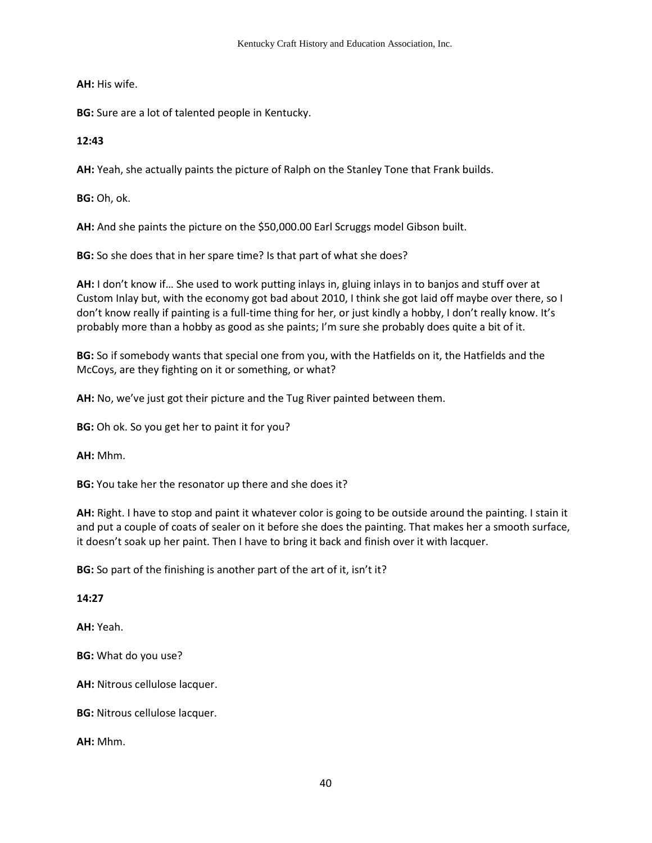**AH:** His wife.

**BG:** Sure are a lot of talented people in Kentucky.

## **12:43**

**AH:** Yeah, she actually paints the picture of Ralph on the Stanley Tone that Frank builds.

**BG:** Oh, ok.

**AH:** And she paints the picture on the \$50,000.00 Earl Scruggs model Gibson built.

**BG:** So she does that in her spare time? Is that part of what she does?

**AH:** I don't know if… She used to work putting inlays in, gluing inlays in to banjos and stuff over at Custom Inlay but, with the economy got bad about 2010, I think she got laid off maybe over there, so I don't know really if painting is a full-time thing for her, or just kindly a hobby, I don't really know. It's probably more than a hobby as good as she paints; I'm sure she probably does quite a bit of it.

**BG:** So if somebody wants that special one from you, with the Hatfields on it, the Hatfields and the McCoys, are they fighting on it or something, or what?

**AH:** No, we've just got their picture and the Tug River painted between them.

**BG:** Oh ok. So you get her to paint it for you?

**AH:** Mhm.

**BG:** You take her the resonator up there and she does it?

**AH:** Right. I have to stop and paint it whatever color is going to be outside around the painting. I stain it and put a couple of coats of sealer on it before she does the painting. That makes her a smooth surface, it doesn't soak up her paint. Then I have to bring it back and finish over it with lacquer.

**BG:** So part of the finishing is another part of the art of it, isn't it?

**14:27**

**AH:** Yeah.

**BG:** What do you use?

**AH:** Nitrous cellulose lacquer.

**BG:** Nitrous cellulose lacquer.

**AH:** Mhm.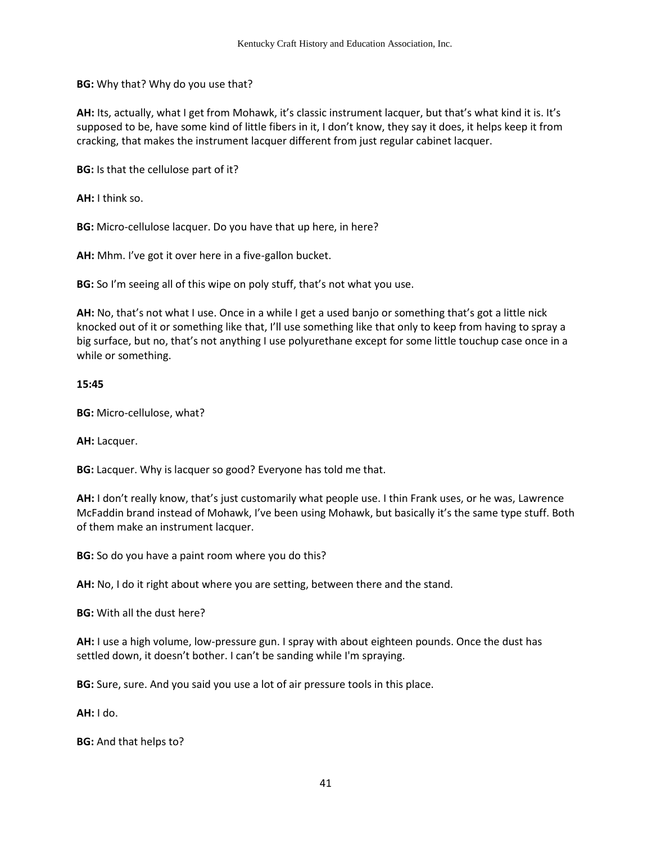**BG:** Why that? Why do you use that?

**AH:** Its, actually, what I get from Mohawk, it's classic instrument lacquer, but that's what kind it is. It's supposed to be, have some kind of little fibers in it, I don't know, they say it does, it helps keep it from cracking, that makes the instrument lacquer different from just regular cabinet lacquer.

**BG:** Is that the cellulose part of it?

**AH:** I think so.

**BG:** Micro-cellulose lacquer. Do you have that up here, in here?

**AH:** Mhm. I've got it over here in a five-gallon bucket.

**BG:** So I'm seeing all of this wipe on poly stuff, that's not what you use.

**AH:** No, that's not what I use. Once in a while I get a used banjo or something that's got a little nick knocked out of it or something like that, I'll use something like that only to keep from having to spray a big surface, but no, that's not anything I use polyurethane except for some little touchup case once in a while or something.

#### **15:45**

**BG:** Micro-cellulose, what?

**AH:** Lacquer.

**BG:** Lacquer. Why is lacquer so good? Everyone has told me that.

**AH:** I don't really know, that's just customarily what people use. I thin Frank uses, or he was, Lawrence McFaddin brand instead of Mohawk, I've been using Mohawk, but basically it's the same type stuff. Both of them make an instrument lacquer.

**BG:** So do you have a paint room where you do this?

**AH:** No, I do it right about where you are setting, between there and the stand.

**BG:** With all the dust here?

**AH:** I use a high volume, low-pressure gun. I spray with about eighteen pounds. Once the dust has settled down, it doesn't bother. I can't be sanding while I'm spraying.

**BG:** Sure, sure. And you said you use a lot of air pressure tools in this place.

**AH:** I do.

**BG:** And that helps to?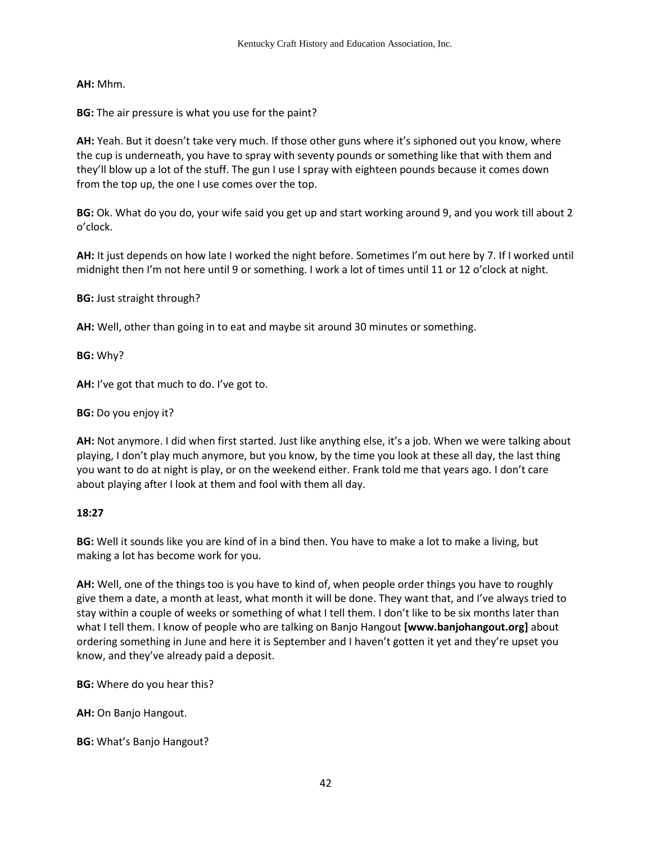**AH:** Mhm.

**BG:** The air pressure is what you use for the paint?

**AH:** Yeah. But it doesn't take very much. If those other guns where it's siphoned out you know, where the cup is underneath, you have to spray with seventy pounds or something like that with them and they'll blow up a lot of the stuff. The gun I use I spray with eighteen pounds because it comes down from the top up, the one I use comes over the top.

**BG:** Ok. What do you do, your wife said you get up and start working around 9, and you work till about 2 o'clock.

**AH:** It just depends on how late I worked the night before. Sometimes I'm out here by 7. If I worked until midnight then I'm not here until 9 or something. I work a lot of times until 11 or 12 o'clock at night.

**BG:** Just straight through?

**AH:** Well, other than going in to eat and maybe sit around 30 minutes or something.

**BG:** Why?

**AH:** I've got that much to do. I've got to.

**BG:** Do you enjoy it?

**AH:** Not anymore. I did when first started. Just like anything else, it's a job. When we were talking about playing, I don't play much anymore, but you know, by the time you look at these all day, the last thing you want to do at night is play, or on the weekend either. Frank told me that years ago. I don't care about playing after I look at them and fool with them all day.

#### **18:27**

**BG:** Well it sounds like you are kind of in a bind then. You have to make a lot to make a living, but making a lot has become work for you.

**AH:** Well, one of the things too is you have to kind of, when people order things you have to roughly give them a date, a month at least, what month it will be done. They want that, and I've always tried to stay within a couple of weeks or something of what I tell them. I don't like to be six months later than what I tell them. I know of people who are talking on Banjo Hangout **[www.banjohangout.org]** about ordering something in June and here it is September and I haven't gotten it yet and they're upset you know, and they've already paid a deposit.

**BG:** Where do you hear this?

**AH:** On Banjo Hangout.

**BG:** What's Banjo Hangout?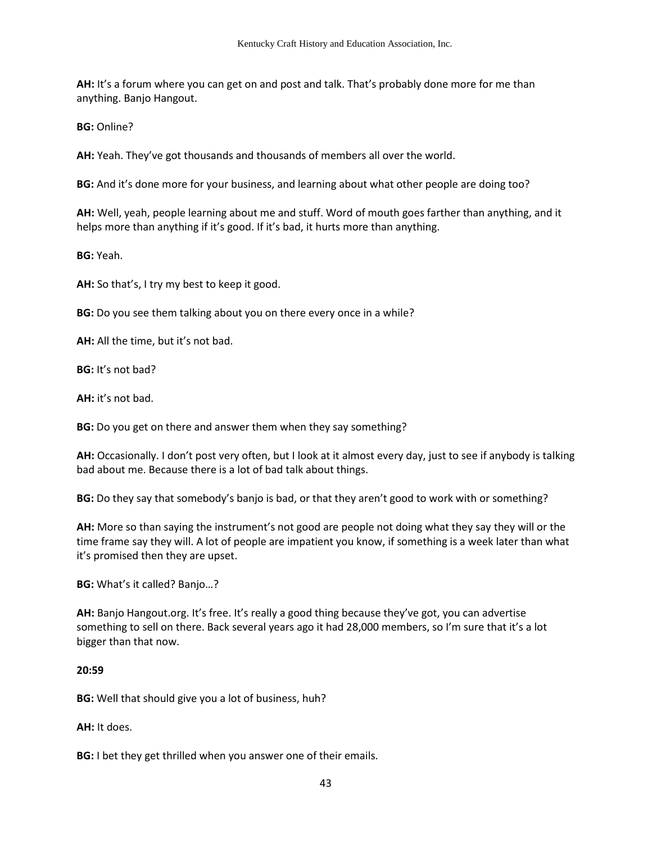**AH:** It's a forum where you can get on and post and talk. That's probably done more for me than anything. Banjo Hangout.

**BG:** Online?

**AH:** Yeah. They've got thousands and thousands of members all over the world.

**BG:** And it's done more for your business, and learning about what other people are doing too?

**AH:** Well, yeah, people learning about me and stuff. Word of mouth goes farther than anything, and it helps more than anything if it's good. If it's bad, it hurts more than anything.

**BG:** Yeah.

**AH:** So that's, I try my best to keep it good.

**BG:** Do you see them talking about you on there every once in a while?

**AH:** All the time, but it's not bad.

**BG:** It's not bad?

**AH:** it's not bad.

**BG:** Do you get on there and answer them when they say something?

**AH:** Occasionally. I don't post very often, but I look at it almost every day, just to see if anybody is talking bad about me. Because there is a lot of bad talk about things.

**BG:** Do they say that somebody's banjo is bad, or that they aren't good to work with or something?

**AH:** More so than saying the instrument's not good are people not doing what they say they will or the time frame say they will. A lot of people are impatient you know, if something is a week later than what it's promised then they are upset.

**BG:** What's it called? Banjo…?

**AH:** Banjo Hangout.org. It's free. It's really a good thing because they've got, you can advertise something to sell on there. Back several years ago it had 28,000 members, so I'm sure that it's a lot bigger than that now.

#### **20:59**

**BG:** Well that should give you a lot of business, huh?

**AH:** It does.

**BG:** I bet they get thrilled when you answer one of their emails.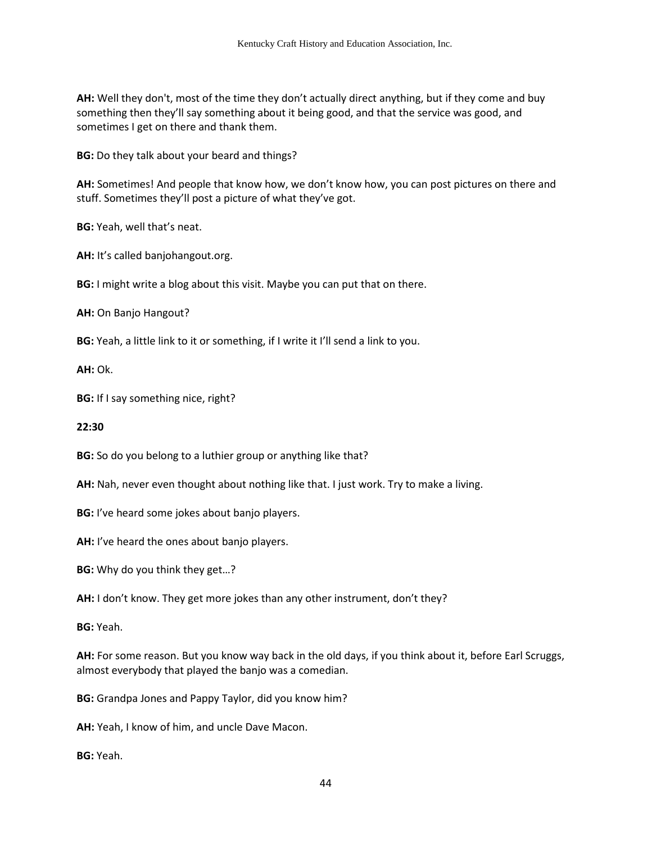**AH:** Well they don't, most of the time they don't actually direct anything, but if they come and buy something then they'll say something about it being good, and that the service was good, and sometimes I get on there and thank them.

**BG:** Do they talk about your beard and things?

**AH:** Sometimes! And people that know how, we don't know how, you can post pictures on there and stuff. Sometimes they'll post a picture of what they've got.

**BG:** Yeah, well that's neat.

**AH:** It's called banjohangout.org.

**BG:** I might write a blog about this visit. Maybe you can put that on there.

**AH:** On Banjo Hangout?

**BG:** Yeah, a little link to it or something, if I write it I'll send a link to you.

**AH:** Ok.

**BG:** If I say something nice, right?

#### **22:30**

**BG:** So do you belong to a luthier group or anything like that?

**AH:** Nah, never even thought about nothing like that. I just work. Try to make a living.

**BG:** I've heard some jokes about banjo players.

**AH:** I've heard the ones about banjo players.

**BG:** Why do you think they get…?

**AH:** I don't know. They get more jokes than any other instrument, don't they?

**BG:** Yeah.

**AH:** For some reason. But you know way back in the old days, if you think about it, before Earl Scruggs, almost everybody that played the banjo was a comedian.

**BG:** Grandpa Jones and Pappy Taylor, did you know him?

**AH:** Yeah, I know of him, and uncle Dave Macon.

**BG:** Yeah.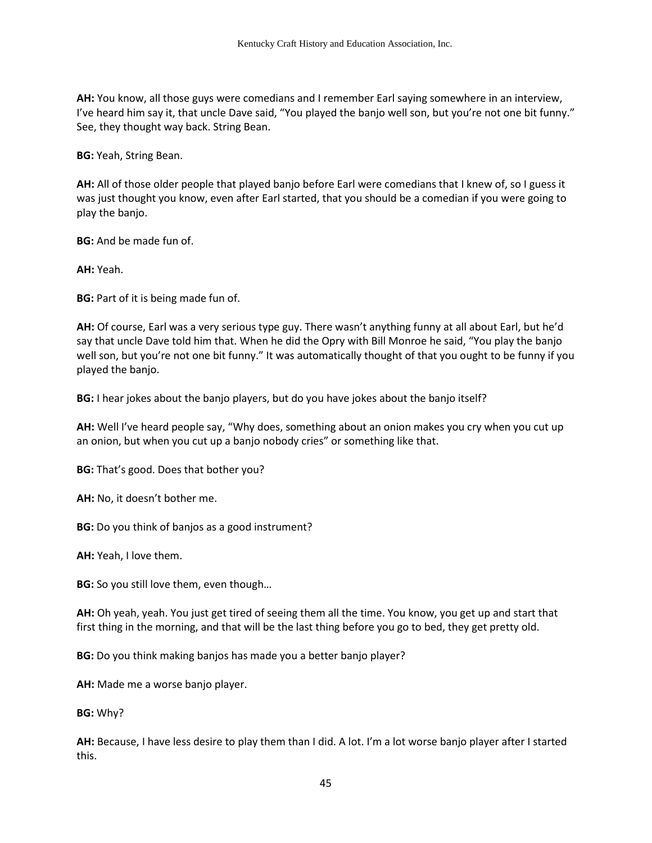**AH:** You know, all those guys were comedians and I remember Earl saying somewhere in an interview, I've heard him say it, that uncle Dave said, "You played the banjo well son, but you're not one bit funny." See, they thought way back. String Bean.

**BG:** Yeah, String Bean.

**AH:** All of those older people that played banjo before Earl were comedians that I knew of, so I guess it was just thought you know, even after Earl started, that you should be a comedian if you were going to play the banjo.

**BG:** And be made fun of.

**AH:** Yeah.

**BG:** Part of it is being made fun of.

**AH:** Of course, Earl was a very serious type guy. There wasn't anything funny at all about Earl, but he'd say that uncle Dave told him that. When he did the Opry with Bill Monroe he said, "You play the banjo well son, but you're not one bit funny." It was automatically thought of that you ought to be funny if you played the banjo.

**BG:** I hear jokes about the banjo players, but do you have jokes about the banjo itself?

**AH:** Well I've heard people say, "Why does, something about an onion makes you cry when you cut up an onion, but when you cut up a banjo nobody cries" or something like that.

**BG:** That's good. Does that bother you?

**AH:** No, it doesn't bother me.

**BG:** Do you think of banjos as a good instrument?

**AH:** Yeah, I love them.

**BG:** So you still love them, even though…

**AH:** Oh yeah, yeah. You just get tired of seeing them all the time. You know, you get up and start that first thing in the morning, and that will be the last thing before you go to bed, they get pretty old.

**BG:** Do you think making banjos has made you a better banjo player?

**AH:** Made me a worse banjo player.

#### **BG:** Why?

**AH:** Because, I have less desire to play them than I did. A lot. I'm a lot worse banjo player after I started this.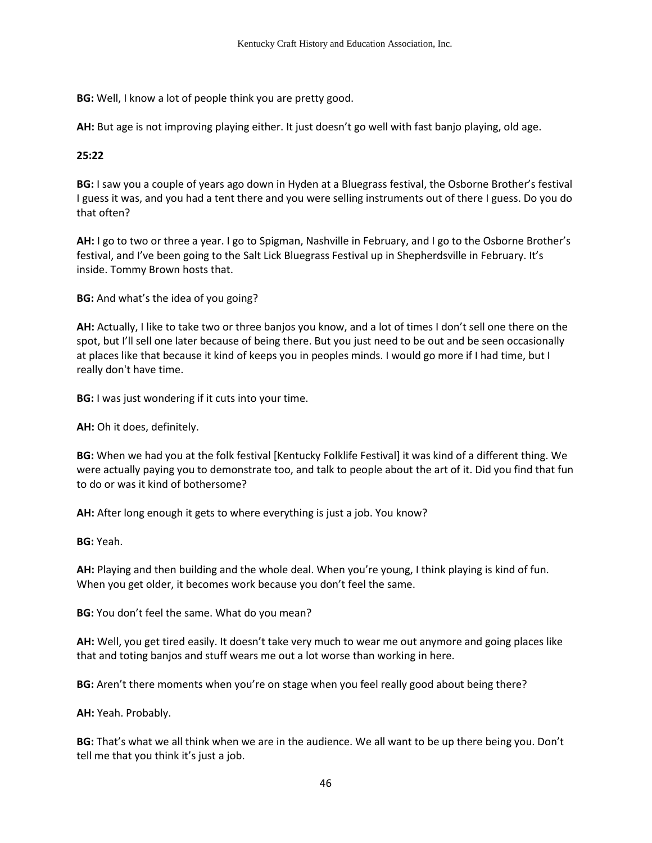**BG:** Well, I know a lot of people think you are pretty good.

**AH:** But age is not improving playing either. It just doesn't go well with fast banjo playing, old age.

# **25:22**

**BG:** I saw you a couple of years ago down in Hyden at a Bluegrass festival, the Osborne Brother's festival I guess it was, and you had a tent there and you were selling instruments out of there I guess. Do you do that often?

**AH:** I go to two or three a year. I go to Spigman, Nashville in February, and I go to the Osborne Brother's festival, and I've been going to the Salt Lick Bluegrass Festival up in Shepherdsville in February. It's inside. Tommy Brown hosts that.

**BG:** And what's the idea of you going?

**AH:** Actually, I like to take two or three banjos you know, and a lot of times I don't sell one there on the spot, but I'll sell one later because of being there. But you just need to be out and be seen occasionally at places like that because it kind of keeps you in peoples minds. I would go more if I had time, but I really don't have time.

**BG:** I was just wondering if it cuts into your time.

**AH:** Oh it does, definitely.

**BG:** When we had you at the folk festival [Kentucky Folklife Festival] it was kind of a different thing. We were actually paying you to demonstrate too, and talk to people about the art of it. Did you find that fun to do or was it kind of bothersome?

**AH:** After long enough it gets to where everything is just a job. You know?

**BG:** Yeah.

**AH:** Playing and then building and the whole deal. When you're young, I think playing is kind of fun. When you get older, it becomes work because you don't feel the same.

**BG:** You don't feel the same. What do you mean?

**AH:** Well, you get tired easily. It doesn't take very much to wear me out anymore and going places like that and toting banjos and stuff wears me out a lot worse than working in here.

**BG:** Aren't there moments when you're on stage when you feel really good about being there?

**AH:** Yeah. Probably.

**BG:** That's what we all think when we are in the audience. We all want to be up there being you. Don't tell me that you think it's just a job.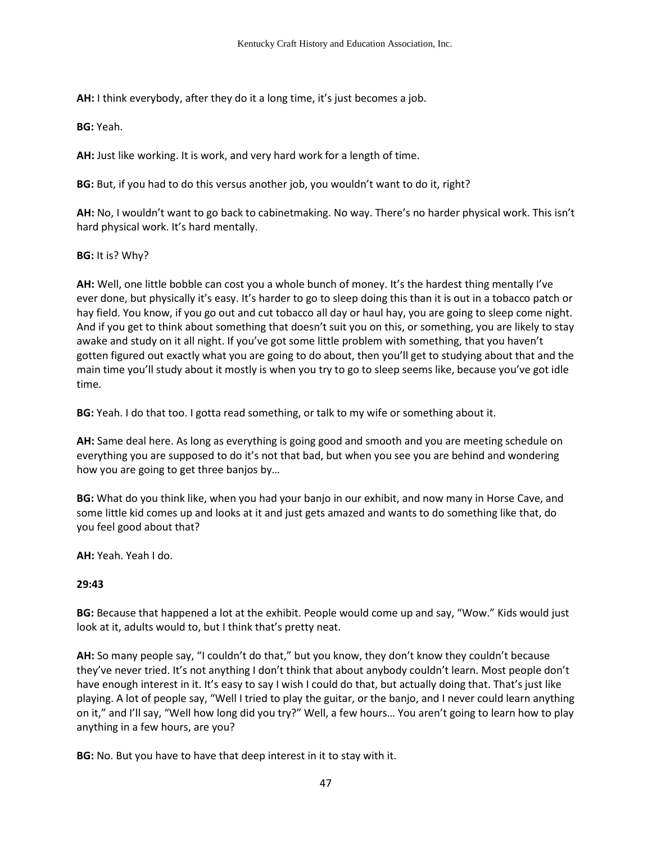**AH:** I think everybody, after they do it a long time, it's just becomes a job.

**BG:** Yeah.

**AH:** Just like working. It is work, and very hard work for a length of time.

**BG:** But, if you had to do this versus another job, you wouldn't want to do it, right?

**AH:** No, I wouldn't want to go back to cabinetmaking. No way. There's no harder physical work. This isn't hard physical work. It's hard mentally.

**BG:** It is? Why?

**AH:** Well, one little bobble can cost you a whole bunch of money. It's the hardest thing mentally I've ever done, but physically it's easy. It's harder to go to sleep doing this than it is out in a tobacco patch or hay field. You know, if you go out and cut tobacco all day or haul hay, you are going to sleep come night. And if you get to think about something that doesn't suit you on this, or something, you are likely to stay awake and study on it all night. If you've got some little problem with something, that you haven't gotten figured out exactly what you are going to do about, then you'll get to studying about that and the main time you'll study about it mostly is when you try to go to sleep seems like, because you've got idle time.

**BG:** Yeah. I do that too. I gotta read something, or talk to my wife or something about it.

**AH:** Same deal here. As long as everything is going good and smooth and you are meeting schedule on everything you are supposed to do it's not that bad, but when you see you are behind and wondering how you are going to get three banjos by…

**BG:** What do you think like, when you had your banjo in our exhibit, and now many in Horse Cave, and some little kid comes up and looks at it and just gets amazed and wants to do something like that, do you feel good about that?

**AH:** Yeah. Yeah I do.

# **29:43**

**BG:** Because that happened a lot at the exhibit. People would come up and say, "Wow." Kids would just look at it, adults would to, but I think that's pretty neat.

**AH:** So many people say, "I couldn't do that," but you know, they don't know they couldn't because they've never tried. It's not anything I don't think that about anybody couldn't learn. Most people don't have enough interest in it. It's easy to say I wish I could do that, but actually doing that. That's just like playing. A lot of people say, "Well I tried to play the guitar, or the banjo, and I never could learn anything on it," and I'll say, "Well how long did you try?" Well, a few hours… You aren't going to learn how to play anything in a few hours, are you?

**BG:** No. But you have to have that deep interest in it to stay with it.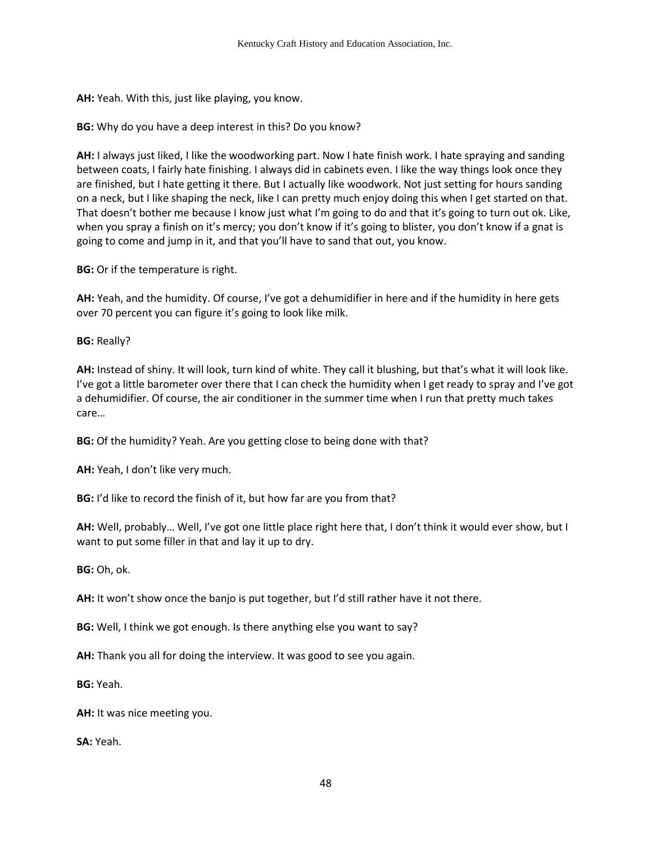**AH:** Yeah. With this, just like playing, you know.

**BG:** Why do you have a deep interest in this? Do you know?

**AH:** I always just liked, I like the woodworking part. Now I hate finish work. I hate spraying and sanding between coats, I fairly hate finishing. I always did in cabinets even. I like the way things look once they are finished, but I hate getting it there. But I actually like woodwork. Not just setting for hours sanding on a neck, but I like shaping the neck, like I can pretty much enjoy doing this when I get started on that. That doesn't bother me because I know just what I'm going to do and that it's going to turn out ok. Like, when you spray a finish on it's mercy; you don't know if it's going to blister, you don't know if a gnat is going to come and jump in it, and that you'll have to sand that out, you know.

**BG:** Or if the temperature is right.

**AH:** Yeah, and the humidity. Of course, I've got a dehumidifier in here and if the humidity in here gets over 70 percent you can figure it's going to look like milk.

**BG:** Really?

**AH:** Instead of shiny. It will look, turn kind of white. They call it blushing, but that's what it will look like. I've got a little barometer over there that I can check the humidity when I get ready to spray and I've got a dehumidifier. Of course, the air conditioner in the summer time when I run that pretty much takes care…

**BG:** Of the humidity? Yeah. Are you getting close to being done with that?

**AH:** Yeah, I don't like very much.

**BG:** I'd like to record the finish of it, but how far are you from that?

**AH:** Well, probably… Well, I've got one little place right here that, I don't think it would ever show, but I want to put some filler in that and lay it up to dry.

**BG:** Oh, ok.

**AH:** It won't show once the banjo is put together, but I'd still rather have it not there.

**BG:** Well, I think we got enough. Is there anything else you want to say?

**AH:** Thank you all for doing the interview. It was good to see you again.

**BG:** Yeah.

**AH:** It was nice meeting you.

**SA:** Yeah.